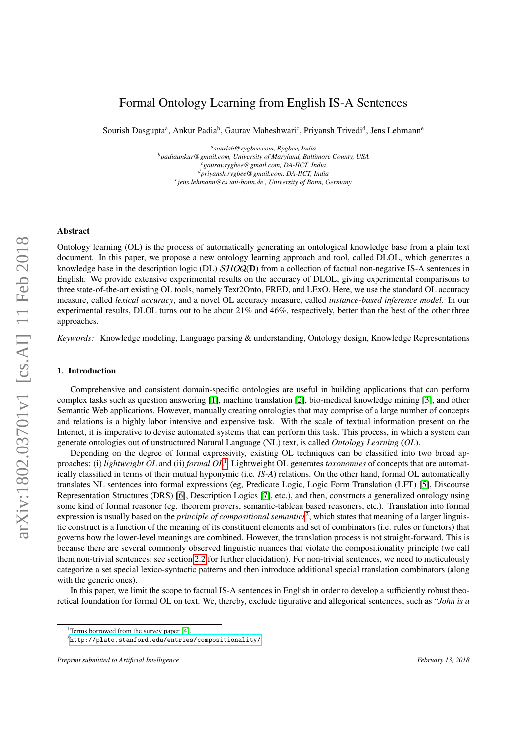# <span id="page-0-2"></span>Formal Ontology Learning from English IS-A Sentences

Sourish Dasgupta<sup>a</sup>, Ankur Padia<sup>b</sup>, Gaurav Maheshwari<sup>c</sup>, Priyansh Trivedi<sup>d</sup>, Jens Lehmann<sup>e</sup>

*a sourish@rygbee.com, Rygbee, India <sup>b</sup>padiaankur@gmail.com, University of Maryland, Baltimore County, USA <sup>c</sup>gaurav.rygbee@gmail.com, DA-IICT, India <sup>d</sup>priyansh.rygbee@gmail.com, DA-IICT, India e jens.lehmann@cs.uni-bonn.de , University of Bonn, Germany*

# Abstract

Ontology learning (OL) is the process of automatically generating an ontological knowledge base from a plain text document. In this paper, we propose a new ontology learning approach and tool, called DLOL, which generates a knowledge base in the description logic (DL)  $SHOQ(D)$  from a collection of factual non-negative IS-A sentences in English. We provide extensive experimental results on the accuracy of DLOL, giving experimental comparisons to three state-of-the-art existing OL tools, namely Text2Onto, FRED, and LExO. Here, we use the standard OL accuracy measure, called *lexical accuracy*, and a novel OL accuracy measure, called *instance-based inference model*. In our experimental results, DLOL turns out to be about 21% and 46%, respectively, better than the best of the other three approaches.

*Keywords:* Knowledge modeling, Language parsing & understanding, Ontology design, Knowledge Representations

## 1. Introduction

Comprehensive and consistent domain-specific ontologies are useful in building applications that can perform complex tasks such as question answering [\[1\]](#page-28-0), machine translation [\[2\]](#page-28-1), bio-medical knowledge mining [\[3\]](#page-28-2), and other Semantic Web applications. However, manually creating ontologies that may comprise of a large number of concepts and relations is a highly labor intensive and expensive task. With the scale of textual information present on the Internet, it is imperative to devise automated systems that can perform this task. This process, in which a system can generate ontologies out of unstructured Natural Language (NL) text, is called *Ontology Learning* (*OL*).

Depending on the degree of formal expressivity, existing OL techniques can be classified into two broad approaches: (i) *lightweight OL* and (ii) *formal OL*[1](#page-0-0) . Lightweight OL generates *taxonomies* of concepts that are automatically classified in terms of their mutual hyponymic (i.e. *IS-A*) relations. On the other hand, formal OL automatically translates NL sentences into formal expressions (eg, Predicate Logic, Logic Form Translation (LFT) [\[5\]](#page-28-3), Discourse Representation Structures (DRS) [\[6\]](#page-28-4), Description Logics [\[7\]](#page-28-5), etc.), and then, constructs a generalized ontology using some kind of formal reasoner (eg. theorem provers, semantic-tableau based reasoners, etc.). Translation into formal expression is usually based on the *principle of compositional semantics*<sup>[2](#page-0-1)</sup>, which states that meaning of a larger linguistic construct is a function of the meaning of its constituent elements and set of combinators (i.e. rules or functors) that governs how the lower-level meanings are combined. However, the translation process is not straight-forward. This is because there are several commonly observed linguistic nuances that violate the compositionality principle (we call them non-trivial sentences; see section [2.2](#page-3-0) for further elucidation). For non-trivial sentences, we need to meticulously categorize a set special lexico-syntactic patterns and then introduce additional special translation combinators (along with the generic ones).

In this paper, we limit the scope to factual IS-A sentences in English in order to develop a sufficiently robust theoretical foundation for formal OL on text. We, thereby, exclude figurative and allegorical sentences, such as "*John is a*

<span id="page-0-0"></span><sup>&</sup>lt;sup>1</sup>Terms borrowed from the survey paper [\[4\]](#page-28-6).

<span id="page-0-1"></span> $^2$ <http://plato.stanford.edu/entries/compositionality/>  $\,$ 

*Preprint submitted to Artificial Intelligence February 13, 2018*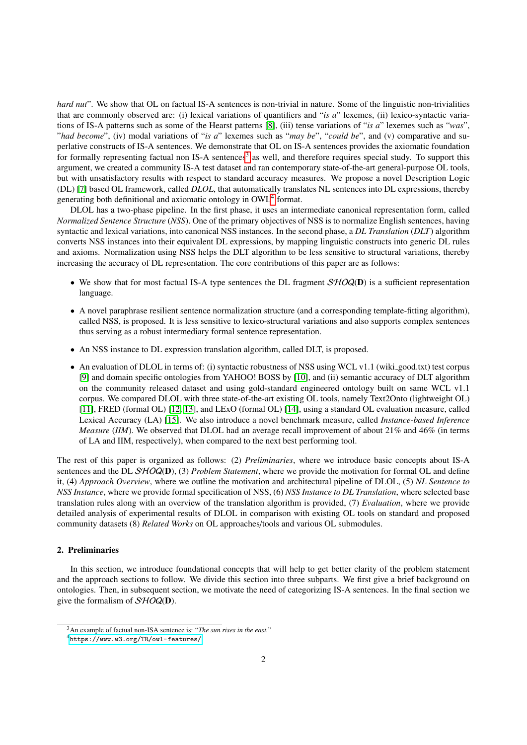*hard nut*". We show that OL on factual IS-A sentences is non-trivial in nature. Some of the linguistic non-trivialities that are commonly observed are: (i) lexical variations of quantifiers and "*is a*" lexemes, (ii) lexico-syntactic variations of IS-A patterns such as some of the Hearst patterns [\[8\]](#page-28-7), (iii) tense variations of "*is a*" lexemes such as "*was*", "*had become*", (iv) modal variations of "*is a*" lexemes such as "*may be*", "*could be*", and (v) comparative and superlative constructs of IS-A sentences. We demonstrate that OL on IS-A sentences provides the axiomatic foundation for formally representing factual non IS-A sentences<sup>[3](#page-1-0)</sup> as well, and therefore requires special study. To support this argument, we created a community IS-A test dataset and ran contemporary state-of-the-art general-purpose OL tools, but with unsatisfactory results with respect to standard accuracy measures. We propose a novel Description Logic (DL) [\[7\]](#page-28-5) based OL framework, called *DLOL*, that automatically translates NL sentences into DL expressions, thereby generating both definitional and axiomatic ontology in  $\text{OWL}^4$  $\text{OWL}^4$  format.

DLOL has a two-phase pipeline. In the first phase, it uses an intermediate canonical representation form, called *Normalized Sentence Structure* (*NSS*). One of the primary objectives of NSS is to normalize English sentences, having syntactic and lexical variations, into canonical NSS instances. In the second phase, a *DL Translation* (*DLT*) algorithm converts NSS instances into their equivalent DL expressions, by mapping linguistic constructs into generic DL rules and axioms. Normalization using NSS helps the DLT algorithm to be less sensitive to structural variations, thereby increasing the accuracy of DL representation. The core contributions of this paper are as follows:

- We show that for most factual IS-A type sentences the DL fragment  $\mathcal{SHOQ}(D)$  is a sufficient representation language.
- A novel paraphrase resilient sentence normalization structure (and a corresponding template-fitting algorithm), called NSS, is proposed. It is less sensitive to lexico-structural variations and also supports complex sentences thus serving as a robust intermediary formal sentence representation.
- An NSS instance to DL expression translation algorithm, called DLT, is proposed.
- An evaluation of DLOL in terms of: (i) syntactic robustness of NSS using WCL v1.1 (wiki\_good.txt) test corpus [\[9\]](#page-28-8) and domain specific ontologies from YAHOO! BOSS by [\[10\]](#page-28-9), and (ii) semantic accuracy of DLT algorithm on the community released dataset and using gold-standard engineered ontology built on same WCL v1.1 corpus. We compared DLOL with three state-of-the-art existing OL tools, namely Text2Onto (lightweight OL) [\[11\]](#page-28-10), FRED (formal OL) [\[12,](#page-28-11) [13\]](#page-28-12), and LExO (formal OL) [\[14\]](#page-29-0), using a standard OL evaluation measure, called Lexical Accuracy (LA) [\[15\]](#page-29-1). We also introduce a novel benchmark measure, called *Instance-based Inference Measure* (*IIM*). We observed that DLOL had an average recall improvement of about 21% and 46% (in terms of LA and IIM, respectively), when compared to the next best performing tool.

The rest of this paper is organized as follows: (2) *Preliminaries*, where we introduce basic concepts about IS-A sentences and the DL SHOQ(D), (3) *Problem Statement*, where we provide the motivation for formal OL and define it, (4) *Approach Overview*, where we outline the motivation and architectural pipeline of DLOL, (5) *NL Sentence to NSS Instance*, where we provide formal specification of NSS, (6) *NSS Instance to DL Translation*, where selected base translation rules along with an overview of the translation algorithm is provided, (7) *Evaluation*, where we provide detailed analysis of experimental results of DLOL in comparison with existing OL tools on standard and proposed community datasets (8) *Related Works* on OL approaches/tools and various OL submodules.

# <span id="page-1-2"></span>2. Preliminaries

In this section, we introduce foundational concepts that will help to get better clarity of the problem statement and the approach sections to follow. We divide this section into three subparts. We first give a brief background on ontologies. Then, in subsequent section, we motivate the need of categorizing IS-A sentences. In the final section we give the formalism of  $\mathcal{SHOQ}(\mathbf{D})$ .

<span id="page-1-0"></span><sup>3</sup>An example of factual non-ISA sentence is: "*The sun rises in the east.*"

<span id="page-1-1"></span><sup>4</sup><https://www.w3.org/TR/owl-features/>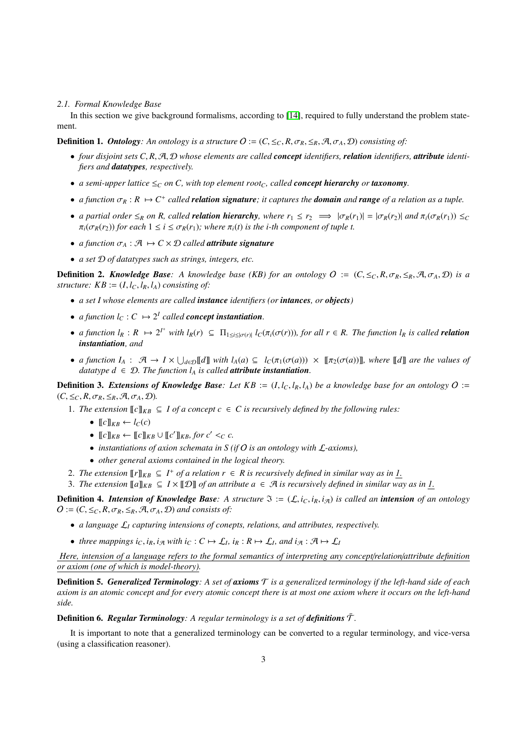#### *2.1. Formal Knowledge Base*

In this section we give background formalisms, according to [\[14\]](#page-29-0), required to fully understand the problem statement.

**Definition 1.** *Ontology: An ontology is a structure*  $O := (C \leq_C R, \sigma_R \leq_R, \mathcal{A}, \sigma_A, \mathcal{D})$  *consisting of:* 

- *four disjoint sets C*, *<sup>R</sup>*, <sup>A</sup>, <sup>D</sup> *whose elements are called concept identifiers, relation identifiers, attribute identifiers and datatypes, respectively.*
- *a semi-upper lattice*  $\leq_C$  *on C, with top element root<sub>C</sub>, called <i>concept hierarchy or taxonomy*.
- *a function*  $\sigma_R : R \mapsto C^+$  *called relation signature*; it captures the *domain* and *range* of a relation as a tuple.
- *a partial order*  $\leq_R$  *on R, called relation hierarchy, where*  $r_1 \leq r_2 \implies |\sigma_R(r_1)| = |\sigma_R(r_2)|$  *and*  $\pi_i(\sigma_R(r_1)) \leq_C$  $\pi_i(\sigma_R(r_2))$  *for each*  $1 \leq i \leq \sigma_R(r_1)$ *; where*  $\pi_i(t)$  *is the i-th component of tuple t.*
- *a function*  $\sigma_A : \mathcal{A} \mapsto C \times D$  *called attribute signature*
- *a set* D *of datatypes such as strings, integers, etc.*

**Definition 2.** *Knowledge Base*: A knowledge base (KB) for an ontology  $O := (C, \leq_C, R, \sigma_R, \leq_R, \mathcal{A}, \sigma_A, \mathcal{D})$  is a *structure:*  $KB := (I, l_C, l_R, l_A)$  *consisting of:* 

- *a set I whose elements are called instance identifiers (or intances, or objects)*
- *a function*  $l_C : C \mapsto 2^I$  *called concept instantiation.*
- a function  $l_R : R \mapsto 2^{l^+}$  with  $l_R(r) \subseteq \Pi_{1 \le i \le |\sigma(r)|} l_C(\pi_i(\sigma(r)))$ , for all  $r \in R$ . The function  $l_R$  is called **relation**<br>instantiation, and *instantiation, and*
- *a function*  $I_A$  :  $\mathcal{A} \to I \times \bigcup_{d \in \mathcal{D}} [d]$  *with*  $l_A(a) \subseteq l_C(\pi_1(\sigma(a))) \times [[\pi_2(\sigma(a))]]$ *, where*  $[[d]]$  *are the values of datatype*  $d \in \mathcal{D}$ . The function *l, is called* **attribute instantiation** *datatype*  $d \in \mathcal{D}$ *. The function*  $l_A$  *is called attribute instantiation.*

**Definition 3.** Extensions of Knowledge Base: Let  $KB := (I, I_C, I_R, I_A)$  be a knowledge base for an ontology  $O :=$  $(C, \leq_C, R, \sigma_R, \leq_R, \mathcal{A}, \sigma_A, \mathcal{D})$ .

- 1. *The extension*  $\llbracket c \rrbracket_{KB} \subseteq I$  *of a concept*  $c \in C$  *is recursively defined by the following rules:* 
	- $\llbracket c \rrbracket_{\mathit{FR}} \leftarrow l_C(c)$
	- $[[c]]_{KB} \leftarrow [[c]]_{KB} \cup [[c']]_{KB}$ *for*  $c' <_C c$ .
	- *instantiations of axion schemata in S (if* O *is an ontology with* L*-axioms),*
	- *other general axioms contained in the logical theory.*
- 2. The extension  $[\![r]\!]_{KB} \subseteq I^+$  of a relation  $r \in R$  is recursively defined in similar way as in  $\underline{I}$ .
- 3. The extension  $[\![a]\!]_{KB} \subseteq I \times [\![\mathcal{D}]\!]$  of an attribute  $a \in \mathcal{A}$  is recursively defined in similar way as in 1.

**Definition 4. Intension of Knowledge Base**: A structure  $\Im := (\mathcal{L}, i_C, i_R, i_A)$  is called an *intension* of an ontology  $O := (C, \leq_C, R, \sigma_R, \leq_R, \mathcal{A}, \sigma_A, \mathcal{D})$  *and consists of:* 

- *a language* L*<sup>I</sup> capturing intensions of conepts, relations, and attributes, respectively.*
- *three mappings i<sub>C</sub>*, *i<sub>R</sub>*, *i<sub>A</sub> with i<sub>C</sub>* :  $C \mapsto \mathcal{L}_I$ *, i<sub>R</sub>* :  $R \mapsto \mathcal{L}_I$ *, and i<sub>A</sub>* :  $\mathcal{A} \mapsto \mathcal{L}_I$

Here, intension of a language refers to the formal semantics of interpreting any concept/relation/attribute definition *or axiom (one of which is model-theory).*

Definition 5. *Generalized Terminology: A set of axioms* T *is a generalized terminology if the left-hand side of each axiom is an atomic concept and for every atomic concept there is at most one axiom where it occurs on the left-hand side.*

**Definition 6. Regular Terminology**: A regular terminology is a set of definitions  $\bar{\mathcal{T}}$ .

It is important to note that a generalized terminology can be converted to a regular terminology, and vice-versa (using a classification reasoner).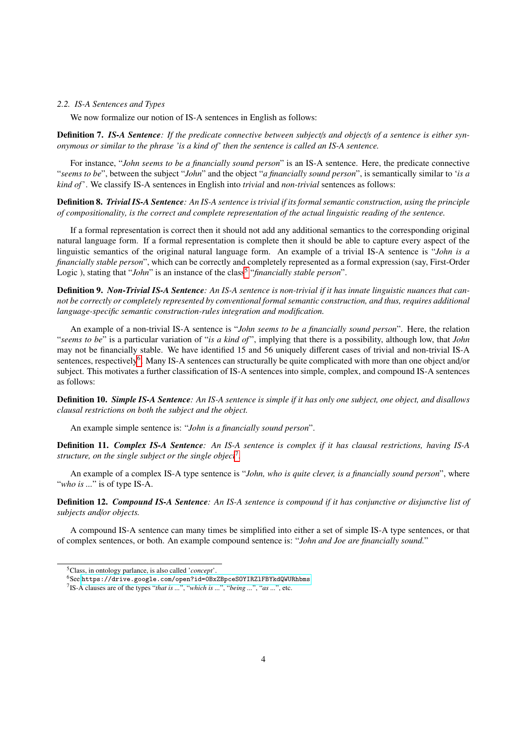#### <span id="page-3-0"></span>*2.2. IS-A Sentences and Types*

We now formalize our notion of IS-A sentences in English as follows:

Definition 7. *IS-A Sentence: If the predicate connective between subject*/*s and object*/*s of a sentence is either synonymous or similar to the phrase 'is a kind of' then the sentence is called an IS-A sentence.*

For instance, "*John seems to be a financially sound person*" is an IS-A sentence. Here, the predicate connective "*seems to be*", between the subject "*John*" and the object "*a financially sound person*", is semantically similar to '*is a kind of*'. We classify IS-A sentences in English into *trivial* and *non-trivial* sentences as follows:

Definition 8. *Trivial IS-A Sentence: An IS-A sentence is trivial if its formal semantic construction, using the principle of compositionality, is the correct and complete representation of the actual linguistic reading of the sentence.*

If a formal representation is correct then it should not add any additional semantics to the corresponding original natural language form. If a formal representation is complete then it should be able to capture every aspect of the linguistic semantics of the original natural language form. An example of a trivial IS-A sentence is "*John is a financially stable person*", which can be correctly and completely represented as a formal expression (say, First-Order Logic), stating that "*John*" is an instance of the class<sup>[5](#page-3-1)</sup> "financially stable person".

Definition 9. *Non-Trivial IS-A Sentence: An IS-A sentence is non-trivial if it has innate linguistic nuances that cannot be correctly or completely represented by conventional formal semantic construction, and thus, requires additional language-specific semantic construction-rules integration and modification.*

An example of a non-trivial IS-A sentence is "*John seems to be a financially sound person*". Here, the relation "*seems to be*" is a particular variation of "*is a kind of* ", implying that there is a possibility, although low, that *John* may not be financially stable. We have identified 15 and 56 uniquely different cases of trivial and non-trivial IS-A sentences, respectively<sup>[6](#page-3-2)</sup>. Many IS-A sentences can structurally be quite complicated with more than one object and/or subject. This motivates a further classification of IS-A sentences into simple, complex, and compound IS-A sentences as follows:

Definition 10. *Simple IS-A Sentence: An IS-A sentence is simple if it has only one subject, one object, and disallows clausal restrictions on both the subject and the object.*

An example simple sentence is: "*John is a financially sound person*".

Definition 11. *Complex IS-A Sentence: An IS-A sentence is complex if it has clausal restrictions, having IS-A structure, on the single subject or the single object*[7](#page-3-3) *.*

An example of a complex IS-A type sentence is "*John, who is quite clever, is a financially sound person*", where "*who is ...*" is of type IS-A.

Definition 12. *Compound IS-A Sentence: An IS-A sentence is compound if it has conjunctive or disjunctive list of subjects and*/*or objects.*

A compound IS-A sentence can many times be simplified into either a set of simple IS-A type sentences, or that of complex sentences, or both. An example compound sentence is: "*John and Joe are financially sound.*"

<span id="page-3-1"></span><sup>5</sup>Class, in ontology parlance, is also called '*concept*'.

<span id="page-3-2"></span><sup>6</sup>See <https://drive.google.com/open?id=0BxZBpceSOYIRZlFBYkdQWURhbms>

<span id="page-3-3"></span><sup>7</sup> IS-A clauses are of the types "*that is ...*", "*which is ...*", "*being ...*", "*as ...*", etc.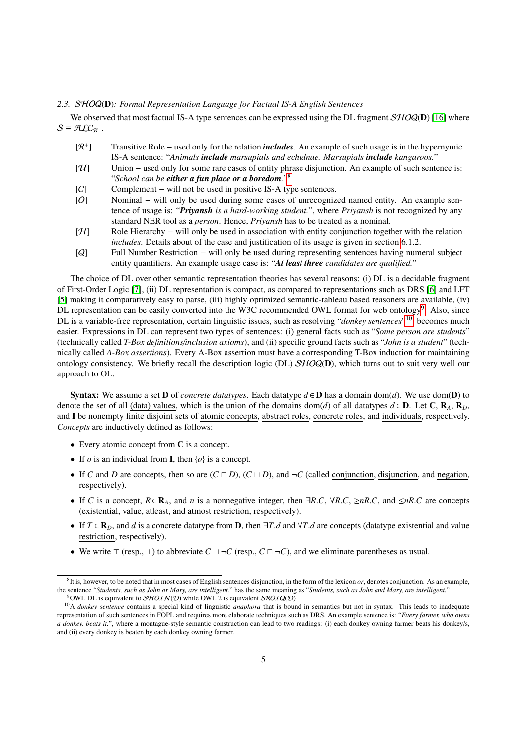#### *2.3.* SHOQ(D)*: Formal Representation Language for Factual IS-A English Sentences*

We observed that most factual IS-A type sentences can be expressed using the DL fragment  $\mathcal{SHOQ}(D)$  [\[16\]](#page-29-2) where  $S = \mathcal{A} \mathcal{L} C_{\mathcal{R}^+}.$ 

- $[\mathcal{R}^+]$ ] Transitive Role − used only for the relation *includes*. An example of such usage is in the hypernymic IS-A sentence: "*Animals include marsupials and echidnae. Marsupials include kangaroos.*"
- [U] Union − used only for some rare cases of entity phrase disjunction. An example of such sentence is: "*School can be either a fun place or a boredom.*" [8](#page-0-2)
- [C] Complement will not be used in positive IS-A type sentences.
- [O] Nominal will only be used during some cases of unrecognized named entity. An example sentence of usage is: "*Priyansh is a hard-working student.*", where *Priyansh* is not recognized by any standard NER tool as a *person*. Hence, *Priyansh* has to be treated as a nominal.
- [H] Role Hierarchy − will only be used in association with entity conjunction together with the relation *includes*. Details about of the case and justification of its usage is given in section [6.1.2.](#page-14-0)
- [Q] Full Number Restriction − will only be used during representing sentences having numeral subject entity quantifiers. An example usage case is: "*At least three candidates are qualified.*"

The choice of DL over other semantic representation theories has several reasons: (i) DL is a decidable fragment of First-Order Logic [\[7\]](#page-28-5), (ii) DL representation is compact, as compared to representations such as DRS [\[6\]](#page-28-4) and LFT [\[5\]](#page-28-3) making it comparatively easy to parse, (iii) highly optimized semantic-tableau based reasoners are available, (iv) DL representation can be easily converted into the W3C recommended OWL format for web ontology<sup>[9](#page-4-0)</sup>. Also, since DL is a variable-free representation, certain linguistic issues, such as resolving "*donkey sentences*" [10](#page-4-1), becomes much easier. Expressions in DL can represent two types of sentences: (i) general facts such as "*Some person are students*" (technically called *T-Box definitions*/*inclusion axioms*), and (ii) specific ground facts such as "*John is a student*" (technically called *A-Box assertions*). Every A-Box assertion must have a corresponding T-Box induction for maintaining ontology consistency. We briefly recall the description logic (DL)  $\mathcal{SHOQ}(D)$ , which turns out to suit very well our approach to OL.

**Syntax:** We assume a set **D** of *concrete datatypes*. Each datatype  $d \in D$  has a domain dom(*d*). We use dom(**D**) to denote the set of all (data) values, which is the union of the domains dom(*d*) of all datatypes  $d \in D$ . Let C,  $\mathbf{R}_A$ ,  $\mathbf{R}_D$ , and I be nonempty finite disjoint sets of atomic concepts, abstract roles, concrete roles, and individuals, respectively. *Concepts* are inductively defined as follows:

- Every atomic concept from C is a concept.
- If  $o$  is an individual from **I**, then  $\{o\}$  is a concept.
- If *C* and *D* are concepts, then so are  $(C \sqcap D)$ ,  $(C \sqcup D)$ , and  $\neg C$  (called conjunction, disjunction, and negation, respectively).
- If *C* is a concept,  $R \in \mathbb{R}_A$ , and *n* is a nonnegative integer, then  $\exists R.C$ ,  $\forall R.C$ ,  $\geq nR.C$ , and  $\leq nR.C$  are concepts (existential, value, atleast, and atmost restriction, respectively).
- If  $T \in \mathbf{R}_D$ , and *d* is a concrete datatype from **D**, then  $\exists T.d$  and  $\forall T.d$  are concepts (datatype existential and value restriction, respectively).
- We write  $\top$  (resp.,  $\bot$ ) to abbreviate  $C \sqcup \neg C$  (resp.,  $C \sqcap \neg C$ ), and we eliminate parentheses as usual.

 ${}^8$ It is, however, to be noted that in most cases of English sentences disjunction, in the form of the lexicon  $or$ , denotes conjunction. As an example, the sentence "*Students, such as John or Mary, are intelligent.*" has the same meaning as "*Students, such as John and Mary, are intelligent.*" <sup>9</sup>OWL DL is equivalent to  $\mathcal{SHOIN}(\mathcal{D})$  while OWL 2 is equivalent  $\mathcal{SROIQ}(\mathcal{D})$ 

<span id="page-4-1"></span><span id="page-4-0"></span><sup>&</sup>lt;sup>10</sup>A *donkey sentence* contains a special kind of linguistic *anaphora* that is bound in semantics but not in syntax. This leads to inadequate representation of such sentences in FOPL and requires more elaborate techniques such as DRS. An example sentence is: "*Every farmer, who owns a donkey, beats it.*", where a montague-style semantic construction can lead to two readings: (i) each donkey owning farmer beats his donkey/s, and (ii) every donkey is beaten by each donkey owning farmer.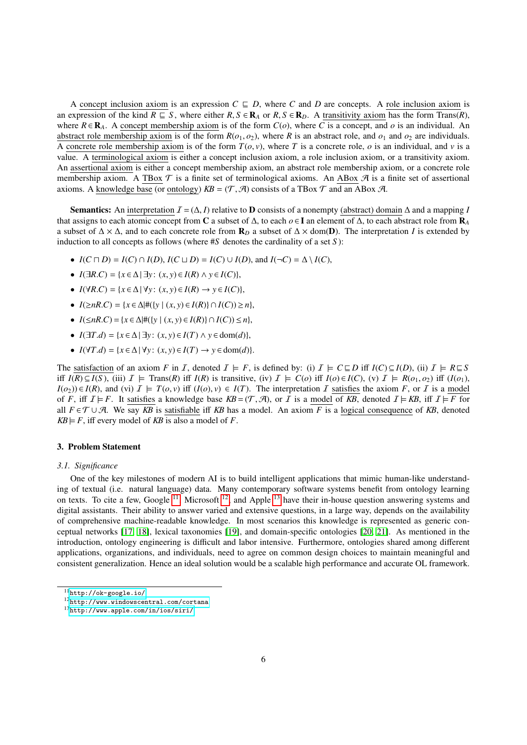A concept inclusion axiom is an expression  $C \subseteq D$ , where C and D are concepts. A role inclusion axiom is an expression of the kind  $R \subseteq S$ , where either  $R, S \in \mathbf{R}_A$  or  $R, S \in \mathbf{R}_D$ . A transitivity axiom has the form Trans(*R*), where  $R \in \mathbf{R}_A$ . A concept membership axiom is of the form  $C(o)$ , where C is a concept, and o is an individual. An abstract role membership axiom is of the form  $R(o_1, o_2)$ , where *R* is an abstract role, and  $o_1$  and  $o_2$  are individuals. A concrete role membership axiom is of the form  $T(\rho, v)$ , where T is a concrete role,  $\rho$  is an individual, and  $v$  is a value. A terminological axiom is either a concept inclusion axiom, a role inclusion axiom, or a transitivity axiom. An assertional axiom is either a concept membership axiom, an abstract role membership axiom, or a concrete role membership axiom. A TBox  $\mathcal T$  is a finite set of terminological axioms. An ABox  $\mathcal A$  is a finite set of assertional axioms. A knowledge base (or ontology)  $KB = (\mathcal{T}, \mathcal{A})$  consists of a TBox  $\mathcal{T}$  and an ABox  $\mathcal{A}$ .

**Semantics:** An interpretation  $I = (\Delta, I)$  relative to **D** consists of a nonempty (abstract) domain  $\Delta$  and a mapping *I* that assigns to each atomic concept from C a subset of ∆, to each *o* ∈ I an element of ∆, to each abstract role from R*<sup>A</sup>* a subset of  $\Delta \times \Delta$ , and to each concrete role from  $\mathbf{R}_D$  a subset of  $\Delta \times \text{dom}(\mathbf{D})$ . The interpretation *I* is extended by induction to all concepts as follows (where #*S* denotes the cardinality of a set *S* ):

- $I(C \sqcap D) = I(C) \cap I(D), I(C \sqcup D) = I(C) \cup I(D),$  and  $I(\neg C) = \triangle \setminus I(C)$ ,
- *<sup>I</sup>*(∃*R*.*C*) <sup>=</sup> {*<sup>x</sup>* <sup>∈</sup> <sup>∆</sup> | ∃*<sup>y</sup>* : (*x*, *<sup>y</sup>*) <sup>∈</sup> *<sup>I</sup>*(*R*) <sup>∧</sup> *<sup>y</sup>* <sup>∈</sup> *<sup>I</sup>*(*C*)},
- $I(\forall R.C) = \{x \in \Delta \mid \forall y : (x, y) \in I(R) \rightarrow y \in I(C)\},\$
- *<sup>I</sup>*(≥*nR*.*C*) <sup>=</sup> {*<sup>x</sup>* <sup>∈</sup> <sup>∆</sup>|#({*<sup>y</sup>* <sup>|</sup> (*x*, *<sup>y</sup>*) <sup>∈</sup> *<sup>I</sup>*(*R*)} ∩ *<sup>I</sup>*(*C*)) <sup>≥</sup> *<sup>n</sup>*},
- *<sup>I</sup>*(≤*nR*.*C*) <sup>=</sup> {*<sup>x</sup>* <sup>∈</sup> <sup>∆</sup>|#({*<sup>y</sup>* <sup>|</sup> (*x*, *<sup>y</sup>*) <sup>∈</sup> *<sup>I</sup>*(*R*)} ∩ *<sup>I</sup>*(*C*)) <sup>≤</sup> *<sup>n</sup>*},
- *<sup>I</sup>*(∃*T*.*d*) <sup>=</sup> {*<sup>x</sup>* <sup>∈</sup> <sup>∆</sup> | ∃*<sup>y</sup>* : (*x*, *<sup>y</sup>*) <sup>∈</sup> *<sup>I</sup>*(*T*) <sup>∧</sup> *<sup>y</sup>* <sup>∈</sup> dom(*d*)},
- $I(\forall T.d) = \{x \in \Delta \mid \forall y : (x, y) \in I(T) \rightarrow y \in \text{dom}(d)\}.$

The satisfaction of an axiom *F* in *I*, denoted  $I \models F$ , is defined by: (i)  $I \models C \sqsubseteq D$  iff  $I(C) \subseteq I(D)$ , (ii)  $I \models R \sqsubseteq S$ iff  $I(R) \subseteq I(S)$ , (iii)  $I \models$  Trans(R) iff  $I(R)$  is transitive, (iv)  $I \models C(o)$  iff  $I(o) \in I(C)$ , (v)  $I \models R(o_1, o_2)$  iff  $(I(o_1)$ , *I*(*o*<sub>2</sub>)) ∈ *I*(*R*), and (vi)  $I$   $\models$  *T*(*o*, *v*) iff (*I*(*o*), *v*) ∈ *I*(*T*). The interpretation *I* satisfies the axiom *F*, or *I* is a model of *F*, iff  $I \models F$ . It satisfies a knowledge base  $KB = (\mathcal{T}, \mathcal{A})$ , or *I* is a model of *KB*, denoted  $I \models KB$ , iff  $I \models F$  for all  $F \in \mathcal{T} \cup \mathcal{A}$ . We say *KB* is satisfiable iff *KB* has a model. An axiom *F* is a logical consequence of *KB*, denoted  $KB \models F$ , iff every model of *KB* is also a model of *F*.

# 3. Problem Statement

#### *3.1. Significance*

One of the key milestones of modern AI is to build intelligent applications that mimic human-like understanding of textual (i.e. natural language) data. Many contemporary software systems benefit from ontology learning on texts. To cite a few, Google  $^{11}$  $^{11}$  $^{11}$ , Microsoft  $^{12}$  $^{12}$  $^{12}$ , and Apple  $^{13}$  $^{13}$  $^{13}$  have their in-house question answering systems and digital assistants. Their ability to answer varied and extensive questions, in a large way, depends on the availability of comprehensive machine-readable knowledge. In most scenarios this knowledge is represented as generic conceptual networks [\[17,](#page-29-3) [18\]](#page-29-4), lexical taxonomies [\[19\]](#page-29-5), and domain-specific ontologies [\[20,](#page-29-6) [21\]](#page-29-7). As mentioned in the introduction, ontology engineering is difficult and labor intensive. Furthermore, ontologies shared among different applications, organizations, and individuals, need to agree on common design choices to maintain meaningful and consistent generalization. Hence an ideal solution would be a scalable high performance and accurate OL framework.

<span id="page-5-0"></span><sup>11</sup><http://ok-google.io/>

<span id="page-5-1"></span><sup>12</sup><http://www.windowscentral.com/cortana>

<span id="page-5-2"></span><sup>13</sup><http://www.apple.com/in/ios/siri/>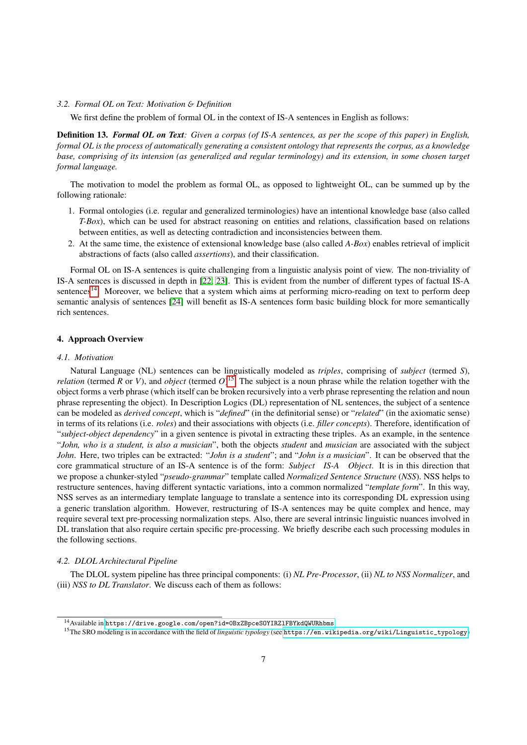## *3.2. Formal OL on Text: Motivation* & *Definition*

We first define the problem of formal OL in the context of IS-A sentences in English as follows:

Definition 13. *Formal OL on Text: Given a corpus (of IS-A sentences, as per the scope of this paper) in English, formal OL is the process of automatically generating a consistent ontology that represents the corpus, as a knowledge base, comprising of its intension (as generalized and regular terminology) and its extension, in some chosen target formal language.*

The motivation to model the problem as formal OL, as opposed to lightweight OL, can be summed up by the following rationale:

- 1. Formal ontologies (i.e. regular and generalized terminologies) have an intentional knowledge base (also called *T-Box*), which can be used for abstract reasoning on entities and relations, classification based on relations between entities, as well as detecting contradiction and inconsistencies between them.
- 2. At the same time, the existence of extensional knowledge base (also called *A-Box*) enables retrieval of implicit abstractions of facts (also called *assertions*), and their classification.

Formal OL on IS-A sentences is quite challenging from a linguistic analysis point of view. The non-triviality of IS-A sentences is discussed in depth in [\[22,](#page-29-8) [23\]](#page-29-9). This is evident from the number of different types of factual IS-A sentences<sup>[14](#page-6-0)</sup>. Moreover, we believe that a system which aims at performing micro-reading on text to perform deep semantic analysis of sentences [\[24\]](#page-29-10) will benefit as IS-A sentences form basic building block for more semantically rich sentences.

## 4. Approach Overview

## <span id="page-6-2"></span>*4.1. Motivation*

Natural Language (NL) sentences can be linguistically modeled as *triples*, comprising of *subject* (termed *S*), *relation* (termed *R* or *V*), and *object* (termed  $O$ <sup>[15](#page-6-1)</sup>. The subject is a noun phrase while the relation together with the object forms a verb phrase (which itself can be broken recursively into a verb phrase representing the relation and noun phrase representing the object). In Description Logics (DL) representation of NL sentences, the subject of a sentence can be modeled as *derived concept*, which is "*defined*" (in the definitorial sense) or "*related*" (in the axiomatic sense) in terms of its relations (i.e. *roles*) and their associations with objects (i.e. *filler concepts*). Therefore, identification of "*subject-object dependency*" in a given sentence is pivotal in extracting these triples. As an example, in the sentence "*John, who is a student, is also a musician*", both the objects *student* and *musician* are associated with the subject *John*. Here, two triples can be extracted: "*John is a student*"; and "*John is a musician*". It can be observed that the core grammatical structure of an IS-A sentence is of the form: *Subject IS-A Object*. It is in this direction that we propose a chunker-styled "*pseudo-grammar*" template called *Normalized Sentence Structure* (*NSS*). NSS helps to restructure sentences, having different syntactic variations, into a common normalized "*template form*". In this way, NSS serves as an intermediary template language to translate a sentence into its corresponding DL expression using a generic translation algorithm. However, restructuring of IS-A sentences may be quite complex and hence, may require several text pre-processing normalization steps. Also, there are several intrinsic linguistic nuances involved in DL translation that also require certain specific pre-processing. We briefly describe each such processing modules in the following sections.

# <span id="page-6-3"></span>*4.2. DLOL Architectural Pipeline*

The DLOL system pipeline has three principal components: (i) *NL Pre-Processor*, (ii) *NL to NSS Normalizer*, and (iii) *NSS to DL Translator*. We discuss each of them as follows:

<span id="page-6-0"></span><sup>14</sup>Available in <https://drive.google.com/open?id=0BxZBpceSOYIRZlFBYkdQWURhbms>

<span id="page-6-1"></span><sup>15</sup>The SRO modeling is in accordance with the field of *linguistic typology* (see [https://en.wikipedia.org/wiki/Linguistic\\_typology](https://en.wikipedia.org/wiki/Linguistic_typology))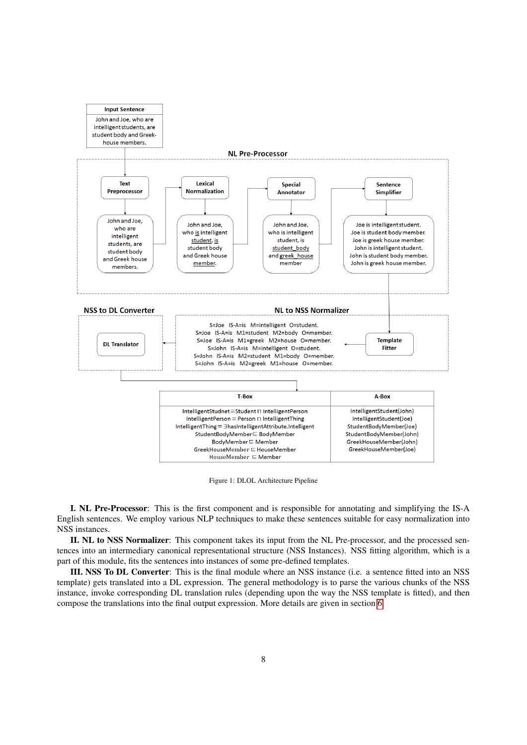

Figure 1: DLOL Architecture Pipeline

I. NL Pre-Processor: This is the first component and is responsible for annotating and simplifying the IS-A English sentences. We employ various NLP techniques to make these sentences suitable for easy normalization into NSS instances.

II. NL to NSS Normalizer: This component takes its input from the NL Pre-processor, and the processed sentences into an intermediary canonical representational structure (NSS Instances). NSS fitting algorithm, which is a part of this module, fits the sentences into instances of some pre-defined templates.

III. NSS To DL Converter: This is the final module where an NSS instance (i.e. a sentence fitted into an NSS template) gets translated into a DL expression. The general methodology is to parse the various chunks of the NSS instance, invoke corresponding DL translation rules (depending upon the way the NSS template is fitted), and then compose the translations into the final output expression. More details are given in section [6.](#page-12-0)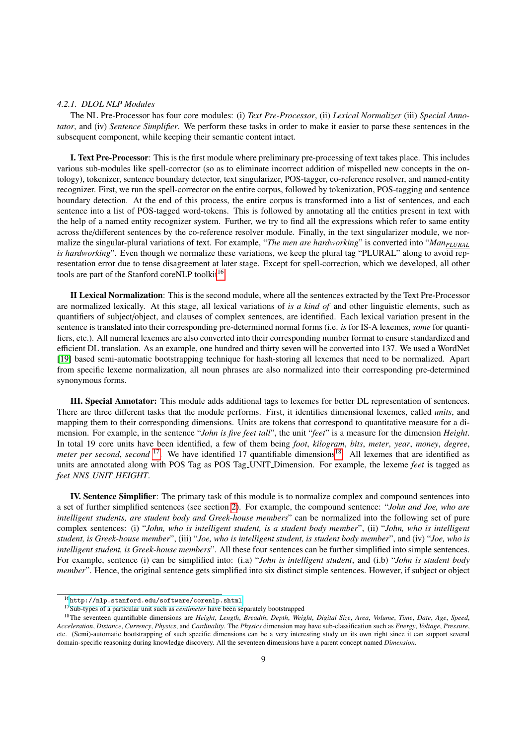#### *4.2.1. DLOL NLP Modules*

The NL Pre-Processor has four core modules: (i) *Text Pre-Processor*, (ii) *Lexical Normalizer* (iii) *Special Annotator*, and (iv) *Sentence Simplifier*. We perform these tasks in order to make it easier to parse these sentences in the subsequent component, while keeping their semantic content intact.

I. Text Pre-Processor: This is the first module where preliminary pre-processing of text takes place. This includes various sub-modules like spell-corrector (so as to eliminate incorrect addition of mispelled new concepts in the ontology), tokenizer, sentence boundary detector, text singularizer, POS-tagger, co-reference resolver, and named-entity recognizer. First, we run the spell-corrector on the entire corpus, followed by tokenization, POS-tagging and sentence boundary detection. At the end of this process, the entire corpus is transformed into a list of sentences, and each sentence into a list of POS-tagged word-tokens. This is followed by annotating all the entities present in text with the help of a named entity recognizer system. Further, we try to find all the expressions which refer to same entity across the/different sentences by the co-reference resolver module. Finally, in the text singularizer module, we normalize the singular-plural variations of text. For example, "*The men are hardworking*" is converted into "*ManPLURAL is hardworking*". Even though we normalize these variations, we keep the plural tag "PLURAL" along to avoid representation error due to tense disagreement at later stage. Except for spell-correction, which we developed, all other tools are part of the Stanford coreNLP toolkit<sup>[16](#page-8-0)</sup>.

II Lexical Normalization: This is the second module, where all the sentences extracted by the Text Pre-Processor are normalized lexically. At this stage, all lexical variations of *is a kind of* and other linguistic elements, such as quantifiers of subject/object, and clauses of complex sentences, are identified. Each lexical variation present in the sentence is translated into their corresponding pre-determined normal forms (i.e. *is* for IS-A lexemes, *some* for quantifiers, etc.). All numeral lexemes are also converted into their corresponding number format to ensure standardized and efficient DL translation. As an example, one hundred and thirty seven will be converted into 137. We used a WordNet [\[19\]](#page-29-5) based semi-automatic bootstrapping technique for hash-storing all lexemes that need to be normalized. Apart from specific lexeme normalization, all noun phrases are also normalized into their corresponding pre-determined synonymous forms.

III. Special Annotator: This module adds additional tags to lexemes for better DL representation of sentences. There are three different tasks that the module performs. First, it identifies dimensional lexemes, called *units*, and mapping them to their corresponding dimensions. Units are tokens that correspond to quantitative measure for a dimension. For example, in the sentence "*John is five feet tall*", the unit "*feet*" is a measure for the dimension *Height*. In total 19 core units have been identified, a few of them being *foot*, *kilogram*, *bits*, *meter*, *year*, *money*, *degree*, *meter per second, second* <sup>[17](#page-8-1)</sup>. We have identified 17 quantifiable dimensions<sup>[18](#page-8-2)</sup>. All lexemes that are identified as units are annotated along with POS Tag as POS Tag UNIT Dimension. For example, the lexeme *feet* is tagged as *feet NNS UNIT HEIGHT*.

IV. Sentence Simplifier: The primary task of this module is to normalize complex and compound sentences into a set of further simplified sentences (see section [2\)](#page-1-2). For example, the compound sentence: "*John and Joe, who are intelligent students, are student body and Greek-house members*" can be normalized into the following set of pure complex sentences: (i) "*John, who is intelligent student, is a student body member*", (ii) "*John, who is intelligent student, is Greek-house member*", (iii) "*Joe, who is intelligent student, is student body member*", and (iv) "*Joe, who is intelligent student, is Greek-house members*". All these four sentences can be further simplified into simple sentences. For example, sentence (i) can be simplified into: (i.a) "*John is intelligent student*, and (i.b) "*John is student body member*". Hence, the original sentence gets simplified into six distinct simple sentences. However, if subject or object

<span id="page-8-0"></span> $^{16}\mathrm{http://nlp.stanford.edu/software/corenlp.shtml}$  $^{16}\mathrm{http://nlp.stanford.edu/software/corenlp.shtml}$  $^{16}\mathrm{http://nlp.stanford.edu/software/corenlp.shtml}$ 

<span id="page-8-2"></span><span id="page-8-1"></span><sup>&</sup>lt;sup>17</sup>Sub-types of a particular unit such as *centimeter* have been separately bootstrapped

<sup>18</sup>The seventeen quantifiable dimensions are *Height*, *Length*, *Breadth*, *Depth*, *Weight*, *Digital Size*, *Area*, *Volume*, *Time*, *Date*, *Age*, *Speed*, *Acceleration*, *Distance*, *Currency*, *Physics*, and *Cardinality*. The *Physics* dimension may have sub-classification such as *Energy*, *Voltage*, *Pressure*, etc. (Semi)-automatic bootstrapping of such specific dimensions can be a very interesting study on its own right since it can support several domain-specific reasoning during knowledge discovery. All the seventeen dimensions have a parent concept named *Dimension*.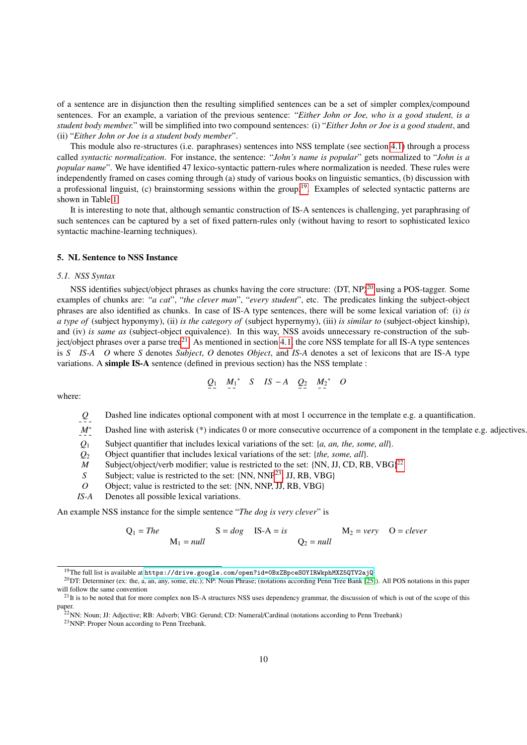of a sentence are in disjunction then the resulting simplified sentences can be a set of simpler complex/compound sentences. For an example, a variation of the previous sentence: "*Either John or Joe, who is a good student, is a student body member.*" will be simplified into two compound sentences: (i) "*Either John or Joe is a good student*, and (ii) "*Either John or Joe is a student body member*".

This module also re-structures (i.e. paraphrases) sentences into NSS template (see section [4.1\)](#page-6-2) through a process called *syntactic normalization*. For instance, the sentence: "*John's name is popular*" gets normalized to "*John is a popular name*". We have identified 47 lexico-syntactic pattern-rules where normalization is needed. These rules were independently framed on cases coming through (a) study of various books on linguistic semantics, (b) discussion with a professional linguist, (c) brainstorming sessions within the group.[19](#page-9-0). Examples of selected syntactic patterns are shown in Table [1.](#page-10-0)

It is interesting to note that, although semantic construction of IS-A sentences is challenging, yet paraphrasing of such sentences can be captured by a set of fixed pattern-rules only (without having to resort to sophisticated lexico syntactic machine-learning techniques).

#### 5. NL Sentence to NSS Instance

# *5.1. NSS Syntax*

NSS identifies subject/object phrases as chunks having the core structure:  $\langle DT, NP \rangle^{20}$  $\langle DT, NP \rangle^{20}$  $\langle DT, NP \rangle^{20}$  using a POS-tagger. Some examples of chunks are: "*a cat*", "*the clever man*", "*every student*", etc. The predicates linking the subject-object phrases are also identified as chunks. In case of IS-A type sentences, there will be some lexical variation of: (i) *is a type of* (subject hyponymy), (ii) *is the category of* (subject hypernymy), (iii) *is similar to* (subject-object kinship), and (iv) *is same as* (subject-object equivalence). In this way, NSS avoids unnecessary re-construction of the subject/object phrases over a parse tree $^{21}$  $^{21}$  $^{21}$ . As mentioned in section [4.1,](#page-6-2) the core NSS template for all IS-A type sentences is *S IS-A O* where *S* denotes *Subject*, *O* denotes *Object*, and *IS-A* denotes a set of lexicons that are IS-A type variations. A simple IS-A sentence (defined in previous section) has the NSS template :

$$
Q_1 \quad M_1^* \quad S \quad IS-A \quad Q_2 \quad M_2^* \quad O
$$

where:

*Q* Dashed line indicates optional component with at most 1 occurrence in the template e.g. a quantification.

*M*<sup>∗</sup> Dashed line with asterisk (\*) indicates 0 or more consecutive occurrence of a component in the template e.g. adjectives.

*Q*<sup>1</sup> Subject quantifier that includes lexical variations of the set: {*a, an, the, some, all*}.

*Q*<sup>2</sup> Object quantifier that includes lexical variations of the set: {*the, some, all*}.

- M Subject/object/verb modifier; value is restricted to the set: {NN, JJ, CD, RB, VBG}<sup>[22](#page-0-2)</sup>
- *S* Subject; value is restricted to the set: {NN, NNP<sup>[23](#page-0-2)</sup>, JJ, RB, VBG}
- *O* Object; value is restricted to the set: {NN, NNP, JJ, RB, VBG}
- *IS-A* Denotes all possible lexical variations.

An example NSS instance for the simple sentence "*The dog is very clever*" is

 $Q_1 = The$   $S = dog$   $IS-A = is$   $M_2 = very$   $O = clever$  $M_1 = null$   $Q_2 = null$ 

<span id="page-9-1"></span><span id="page-9-0"></span><sup>19</sup>The full list is available at <https://drive.google.com/open?id=0BxZBpceSOYIRWkphMXZ5QTV2ajQ>

 $^{20}$ DT: Determiner (ex: the, a, an, any, some, etc.); NP: Noun Phrase; (notations according Penn Tree Bank [\[25\]](#page-29-11)). All POS notations in this paper will follow the same convention

<span id="page-9-2"></span> $2<sup>1</sup>$  It is to be noted that for more complex non IS-A structures NSS uses dependency grammar, the discussion of which is out of the scope of this paper.

<sup>&</sup>lt;sup>22</sup>NN: Noun; JJ: Adjective; RB: Adverb; VBG: Gerund; CD: Numeral/Cardinal (notations according to Penn Treebank)

<sup>23</sup>NNP: Proper Noun according to Penn Treebank.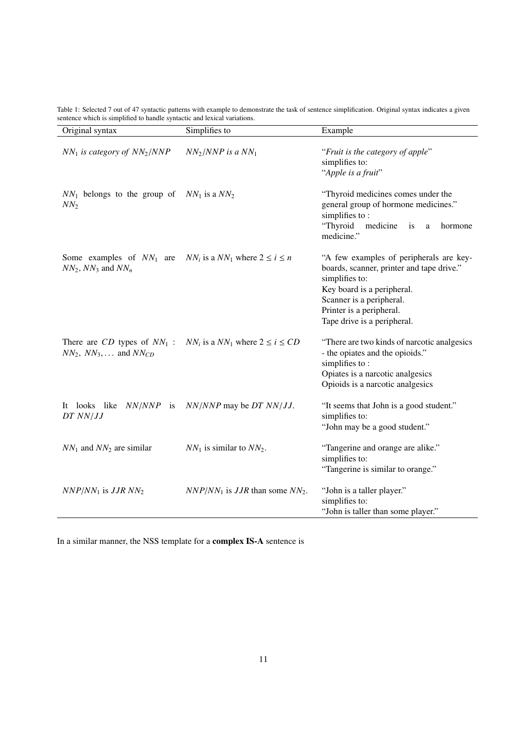| Original syntax                                             | Simplifies to                                                            | Example                                                                                                                                                                                                                     |
|-------------------------------------------------------------|--------------------------------------------------------------------------|-----------------------------------------------------------------------------------------------------------------------------------------------------------------------------------------------------------------------------|
| $NN_1$ is category of $NN_2/NNP$                            | $NN_2/NNP$ is a $NN_1$                                                   | "Fruit is the category of apple"<br>simplifies to:<br>"Apple is a fruit"                                                                                                                                                    |
| $NN_1$ belongs to the group of $NN_1$ is a $NN_2$<br>$NN_2$ |                                                                          | "Thyroid medicines comes under the<br>general group of hormone medicines."<br>simplifies to:<br>"Thyroid<br>medicine<br>is<br>hormone<br>a<br>medicine."                                                                    |
| Some examples of $NN_1$ are<br>$NN_2$ , $NN_3$ and $NN_n$   | $NN_i$ is a $NN_1$ where $2 \le i \le n$                                 | "A few examples of peripherals are key-<br>boards, scanner, printer and tape drive."<br>simplifies to:<br>Key board is a peripheral.<br>Scanner is a peripheral.<br>Printer is a peripheral.<br>Tape drive is a peripheral. |
| $NN_2$ , $NN_3$ ,  and $NN_{CD}$                            | There are CD types of $NN_1$ : $NN_i$ is a $NN_1$ where $2 \le i \le CD$ | "There are two kinds of narcotic analgesics<br>- the opiates and the opioids."<br>simplifies to:<br>Opiates is a narcotic analgesics<br>Opioids is a narcotic analgesics                                                    |
| It looks like NN/NNP is<br>$DT$ $NN/JJ$                     | $NN/NNP$ may be DT $NN/JJ$ .                                             | "It seems that John is a good student."<br>simplifies to:<br>"John may be a good student."                                                                                                                                  |
| $NN_1$ and $NN_2$ are similar                               | $NN_1$ is similar to $NN_2$ .                                            | "Tangerine and orange are alike."<br>simplifies to:<br>"Tangerine is similar to orange."                                                                                                                                    |
| $NNP/NN_1$ is JJR $NN_2$                                    | $NNP/NN_1$ is JJR than some $NN_2$ .                                     | "John is a taller player."<br>simplifies to:<br>"John is taller than some player."                                                                                                                                          |

<span id="page-10-0"></span>Table 1: Selected 7 out of 47 syntactic patterns with example to demonstrate the task of sentence simplification. Original syntax indicates a given sentence which is simplified to handle syntactic and lexical variations.

In a similar manner, the NSS template for a complex IS-A sentence is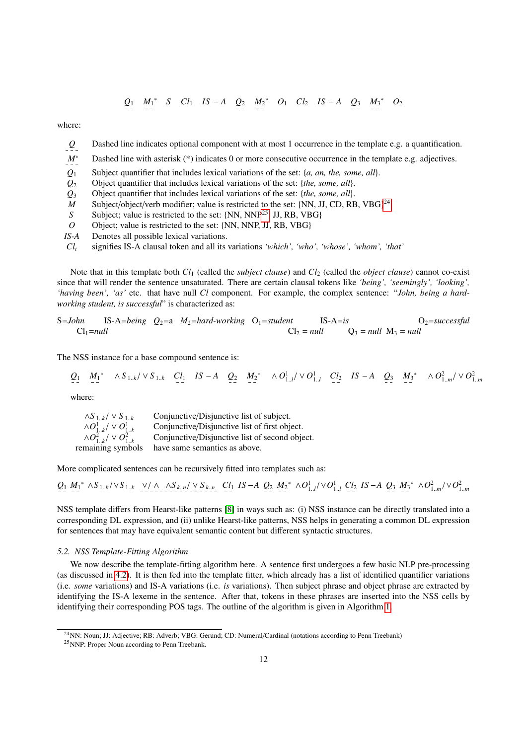$$
Q_1 \quad M_1^* \quad S \quad Cl_1 \quad IS \quad -A \quad Q_2 \quad M_2^* \quad O_1 \quad Cl_2 \quad IS \quad -A \quad Q_3 \quad M_3^* \quad O_2
$$

where:

- *Q* Dashed line indicates optional component with at most 1 occurrence in the template e.g. a quantification.
- *M*<sup>∗</sup> Dashed line with asterisk (\*) indicates 0 or more consecutive occurrence in the template e.g. adjectives.
- *Q*<sup>1</sup> Subject quantifier that includes lexical variations of the set: {*a, an, the, some, all*}.
- *Q*<sup>2</sup> Object quantifier that includes lexical variations of the set: {*the, some, all*}.
- *Q*<sup>3</sup> Object quantifier that includes lexical variations of the set: {*the, some, all*}.
- M Subject/object/verb modifier; value is restricted to the set: {NN, JJ, CD, RB, VBG}<sup>[24](#page-0-2)</sup>
- *S* Subject; value is restricted to the set: {NN, NNP<sup>[25](#page-0-2)</sup>, JJ, RB, VBG}
- *O* Object; value is restricted to the set: {NN, NNP, JJ, RB, VBG}
- *IS-A* Denotes all possible lexical variations.
- *Cl<sup>i</sup>* signifies IS-A clausal token and all its variations *'which', 'who', 'whose', 'whom', 'that'*

Note that in this template both *Cl*<sup>1</sup> (called the *subject clause*) and *Cl*<sup>2</sup> (called the *object clause*) cannot co-exist since that will render the sentence unsaturated. There are certain clausal tokens like *'being', 'seemingly', 'looking', 'having been', 'as'* etc. that have null *Cl* component. For example, the complex sentence: "*John, being a hardworking student, is successful*" is characterized as:

S=John IS-A=being 
$$
Q_2=a
$$
  $M_2$ =hard-working  $O_1$ =student  $IS-A=is$   $O_2$ =  $null$   $O_1$ =null  $Q_3$ =  $null$   $M_3$ =  $null$ 

The NSS instance for a base compound sentence is:

$$
Q_1 \quad M_1^* \quad \wedge S_{1,k} / \vee S_{1,k} \quad C l_1 \quad IS-A \quad Q_2 \quad M_2^* \quad \wedge O_{1,l}^1 / \vee O_{1,l}^1 \quad C l_2 \quad IS-A \quad Q_3 \quad M_3^* \quad \wedge O_{1,m}^2 / \vee O_{1,m}^2
$$

where:

| $\wedge S_{1 k} / \vee S_{1 k}$                                    | Conjunctive/Disjunctive list of subject.       |
|--------------------------------------------------------------------|------------------------------------------------|
| $\wedge O^1_{1k}/\vee O^1_{1k}$<br>$\wedge O^2_{1k}/\vee O^2_{1k}$ | Conjunctive/Disjunctive list of first object.  |
|                                                                    | Conjunctive/Disjunctive list of second object. |
| remaining symbols                                                  | have same semantics as above.                  |

More complicated sentences can be recursively fitted into templates such as:

$$
Q_1 M_1^* \wedge S_{1,k} / \vee S_{1,k} \vee \wedge \wedge S_{k,n} / \vee S_{k,n} \subset l_1 IS-A \ Q_2 M_2^* \wedge O_{1,l}^1 / \vee O_{1,l}^1 \ Cl_2 IS-A \ Q_3 M_3^* \wedge O_{1,m}^2 / \vee O_{1,m}^2
$$

NSS template differs from Hearst-like patterns [\[8\]](#page-28-7) in ways such as: (i) NSS instance can be directly translated into a corresponding DL expression, and (ii) unlike Hearst-like patterns, NSS helps in generating a common DL expression for sentences that may have equivalent semantic content but different syntactic structures.

#### *5.2. NSS Template-Fitting Algorithm*

We now describe the template-fitting algorithm here. A sentence first undergoes a few basic NLP pre-processing (as discussed in [4.2\)](#page-6-3). It is then fed into the template fitter, which already has a list of identified quantifier variations (i.e. *some* variations) and IS-A variations (i.e. *is* variations). Then subject phrase and object phrase are extracted by identifying the IS-A lexeme in the sentence. After that, tokens in these phrases are inserted into the NSS cells by identifying their corresponding POS tags. The outline of the algorithm is given in Algorithm [1.](#page-12-1)

<sup>24</sup>NN: Noun; JJ: Adjective; RB: Adverb; VBG: Gerund; CD: Numeral/Cardinal (notations according to Penn Treebank) <sup>25</sup>NNP: Proper Noun according to Penn Treebank.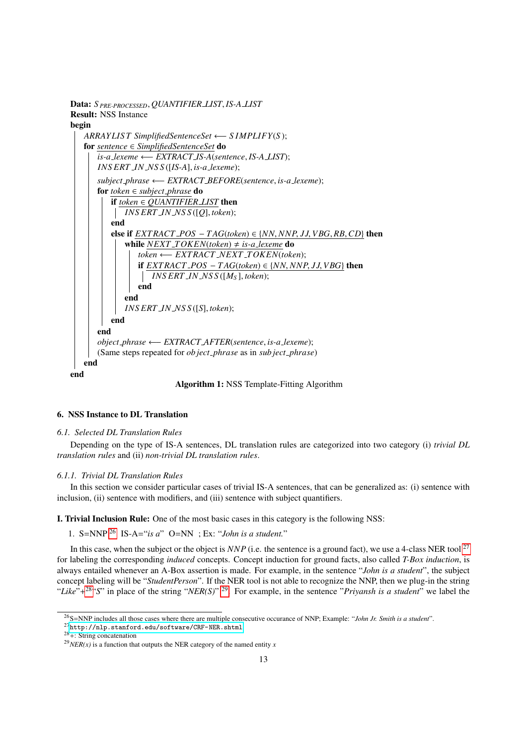

Algorithm 1: NSS Template-Fitting Algorithm

#### <span id="page-12-1"></span><span id="page-12-0"></span>6. NSS Instance to DL Translation

## *6.1. Selected DL Translation Rules*

Depending on the type of IS-A sentences, DL translation rules are categorized into two category (i) *trivial DL translation rules* and (ii) *non-trivial DL translation rules*.

#### *6.1.1. Trivial DL Translation Rules*

In this section we consider particular cases of trivial IS-A sentences, that can be generalized as: (i) sentence with inclusion, (ii) sentence with modifiers, and (iii) sentence with subject quantifiers.

I. Trivial Inclusion Rule: One of the most basic cases in this category is the following NSS:

1. S=NNP [26](#page-12-2) IS-A="*is a*" O=NN ; Ex: "*John is a student.*"

In this case, when the subject or the object is *NNP* (i.e. the sentence is a ground fact), we use a 4-class NER tool<sup>[27](#page-12-3)</sup> for labeling the corresponding *induced* concepts. Concept induction for ground facts, also called *T-Box induction*, is always entailed whenever an A-Box assertion is made. For example, in the sentence "*John is a student*", the subject concept labeling will be "*StudentPerson*". If the NER tool is not able to recognize the NNP, then we plug-in the string "*Like*"+<sup>[28](#page-12-4)</sup>"S" in place of the string "*NER(S)*" <sup>[29](#page-12-5)</sup>. For example, in the sentence "*Priyansh is a student*" we label the

<span id="page-12-2"></span><sup>26</sup>S=NNP includes all those cases where there are multiple consecutive occurance of NNP; Example: "*John Jr. Smith is a student*".

<span id="page-12-3"></span> $^{27}\rm{http://nlp.stanford.edu/software/CRF-NER.shtml}$  $^{27}\rm{http://nlp.stanford.edu/software/CRF-NER.shtml}$  $^{27}\rm{http://nlp.stanford.edu/software/CRF-NER.shtml}$ 

<span id="page-12-4"></span> $28 +$ : String concatenation

<span id="page-12-5"></span> $^{29}NER(x)$  is a function that outputs the NER category of the named entity *x*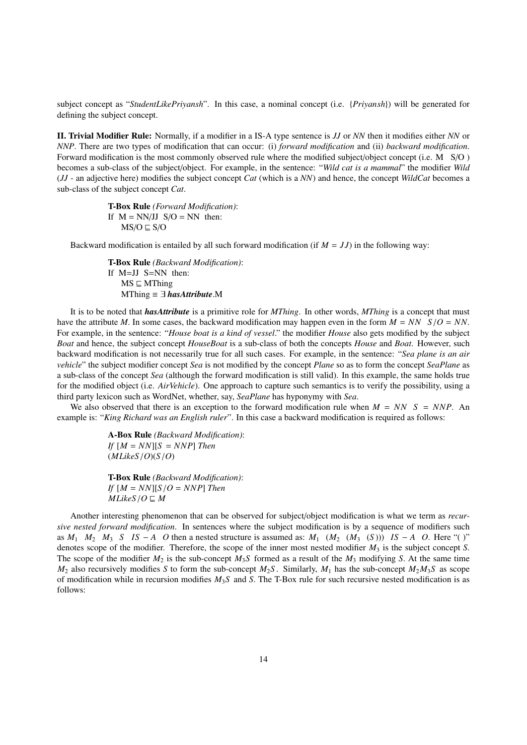subject concept as "*StudentLikePriyansh*". In this case, a nominal concept (i.e. {*Priyansh*}) will be generated for defining the subject concept.

II. Trivial Modifier Rule: Normally, if a modifier in a IS-A type sentence is *JJ* or *NN* then it modifies either *NN* or *NNP*. There are two types of modification that can occur: (i) *forward modification* and (ii) *backward modification*. Forward modification is the most commonly observed rule where the modified subject/object concept (i.e. M S/O ) becomes a sub-class of the subject/object. For example, in the sentence: "*Wild cat is a mammal*" the modifier *Wild* (*JJ* - an adjective here) modifies the subject concept *Cat* (which is a *NN*) and hence, the concept *WildCat* becomes a sub-class of the subject concept *Cat*.

> T-Box Rule *(Forward Modification)*: If  $M = NN/JJ$   $S/O = NN$  then:  $MS/O \sqsubseteq S/O$

Backward modification is entailed by all such forward modification (if  $M = JJ$ ) in the following way:

T-Box Rule *(Backward Modification)*: If M=JJ S=NN then:  $MS \sqsubseteq MThing$ MThing ≡ ∃ *hasAttribute*.M

It is to be noted that *hasAttribute* is a primitive role for *MThing*. In other words, *MThing* is a concept that must have the attribute *<sup>M</sup>*. In some cases, the backward modification may happen even in the form *<sup>M</sup>* <sup>=</sup> *NN S*/*<sup>O</sup>* <sup>=</sup> *NN*. For example, in the sentence: "*House boat is a kind of vessel*." the modifier *House* also gets modified by the subject *Boat* and hence, the subject concept *HouseBoat* is a sub-class of both the concepts *House* and *Boat*. However, such backward modification is not necessarily true for all such cases. For example, in the sentence: "*Sea plane is an air vehicle*" the subject modifier concept *Sea* is not modified by the concept *Plane* so as to form the concept *SeaPlane* as a sub-class of the concept *Sea* (although the forward modification is still valid). In this example, the same holds true for the modified object (i.e. *AirVehicle*). One approach to capture such semantics is to verify the possibility, using a third party lexicon such as WordNet, whether, say, *SeaPlane* has hyponymy with *Sea*.

We also observed that there is an exception to the forward modification rule when  $M = NN S = NNP$ . An example is: "*King Richard was an English ruler*". In this case a backward modification is required as follows:

> A-Box Rule *(Backward Modification)*: *If*  $[M = NN][S = NNP]$  *Then* (*MLikeS*/*O*)(*S*/*O*)

> T-Box Rule *(Backward Modification)*: *If*  $[M = NN][S/O = NNP]$  *Then*  $MLikeS/O \sqsubseteq M$

Another interesting phenomenon that can be observed for subject/object modification is what we term as *recursive nested forward modification*. In sentences where the subject modification is by a sequence of modifiers such as  $M_1$   $M_2$   $M_3$  *S*  $IS - A$  *O* then a nested structure is assumed as:  $M_1$   $(M_2$   $(M_3$   $(S)))$   $IS - A$  *O*. Here "( )" denotes scope of the modifier. Therefore, the scope of the inner most nested modifier  $M_3$  is the subject concept *S*. The scope of the modifier  $M_2$  is the sub-concept  $M_3S$  formed as a result of the  $M_3$  modifying *S*. At the same time  $M_2$  also recursively modifies *S* to form the sub-concept  $M_2S$ . Similarly,  $M_1$  has the sub-concept  $M_2M_3S$  as scope of modification while in recursion modifies *M*3*S* and *S*. The T-Box rule for such recursive nested modification is as follows: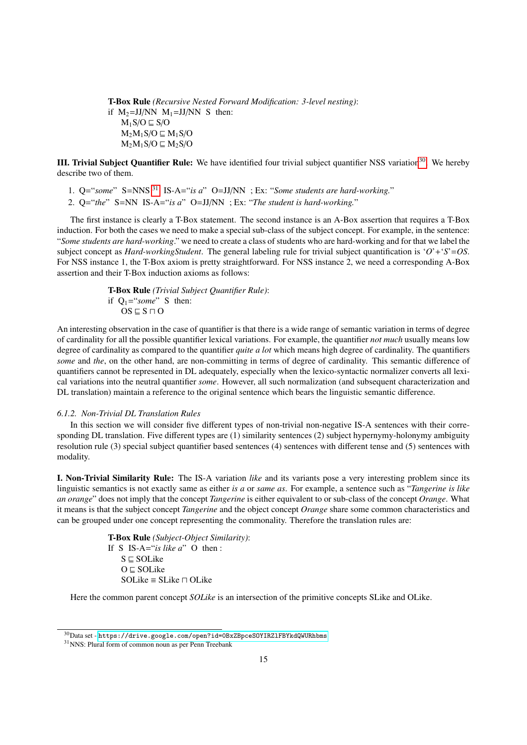T-Box Rule *(Recursive Nested Forward Modification: 3-level nesting)*: if  $M_2=JJ/NN$   $M_1=JJ/NN$  S then:  $M_1S/O \sqsubseteq S/O$  $M_2M_1S/O \sqsubseteq M_1S/O$  $M_2M_1S/O \sqsubseteq M_2S/O$ 

III. Trivial Subject Quantifier Rule: We have identified four trivial subject quantifier NSS variation[30](#page-14-1). We hereby describe two of them.

1. Q="*some*" S=NNS [31](#page-14-2) IS-A="*is a*" O=JJ/NN ; Ex: "*Some students are hard-working.*"

2. Q="*the*" S=NN IS-A="*is a*" O=JJ/NN ; Ex: "*The student is hard-working.*"

The first instance is clearly a T-Box statement. The second instance is an A-Box assertion that requires a T-Box induction. For both the cases we need to make a special sub-class of the subject concept. For example, in the sentence: "*Some students are hard-working*." we need to create a class of students who are hard-working and for that we label the subject concept as *Hard-workingStudent*. The general labeling rule for trivial subject quantification is '*O*'+'*S*'=*OS*. For NSS instance 1, the T-Box axiom is pretty straightforward. For NSS instance 2, we need a corresponding A-Box assertion and their T-Box induction axioms as follows:

> T-Box Rule *(Trivial Subject Quantifier Rule)*: if  $Q_1 = "some" S$  then:  $OS \sqsubseteq S \sqcap O$

An interesting observation in the case of quantifier is that there is a wide range of semantic variation in terms of degree of cardinality for all the possible quantifier lexical variations. For example, the quantifier *not much* usually means low degree of cardinality as compared to the quantifier *quite a lot* which means high degree of cardinality. The quantifiers *some* and *the*, on the other hand, are non-committing in terms of degree of cardinality. This semantic difference of quantifiers cannot be represented in DL adequately, especially when the lexico-syntactic normalizer converts all lexical variations into the neutral quantifier *some*. However, all such normalization (and subsequent characterization and DL translation) maintain a reference to the original sentence which bears the linguistic semantic difference.

## <span id="page-14-0"></span>*6.1.2. Non-Trivial DL Translation Rules*

In this section we will consider five different types of non-trivial non-negative IS-A sentences with their corresponding DL translation. Five different types are (1) similarity sentences (2) subject hypernymy-holonymy ambiguity resolution rule (3) special subject quantifier based sentences (4) sentences with different tense and (5) sentences with modality.

I. Non-Trivial Similarity Rule: The IS-A variation *like* and its variants pose a very interesting problem since its linguistic semantics is not exactly same as either *is a* or *same as*. For example, a sentence such as "*Tangerine is like an orange*" does not imply that the concept *Tangerine* is either equivalent to or sub-class of the concept *Orange*. What it means is that the subject concept *Tangerine* and the object concept *Orange* share some common characteristics and can be grouped under one concept representing the commonality. Therefore the translation rules are:

> T-Box Rule *(Subject-Object Similarity)*: If S IS-A="*is like a*" O then :  $S \sqsubset SOL$ ike  $O \sqsubset SOL$ ike  $SOLike \equiv SLike \sqcap OLike$

Here the common parent concept *SOLike* is an intersection of the primitive concepts SLike and OLike.

<span id="page-14-1"></span> $^{30}$ Data set - https://drive.google.com/open?id=0BxZBpceSOYIRZ1FBYkdQWURhbms

<span id="page-14-2"></span><sup>31</sup>NNS: Plural form of common noun as per Penn Treebank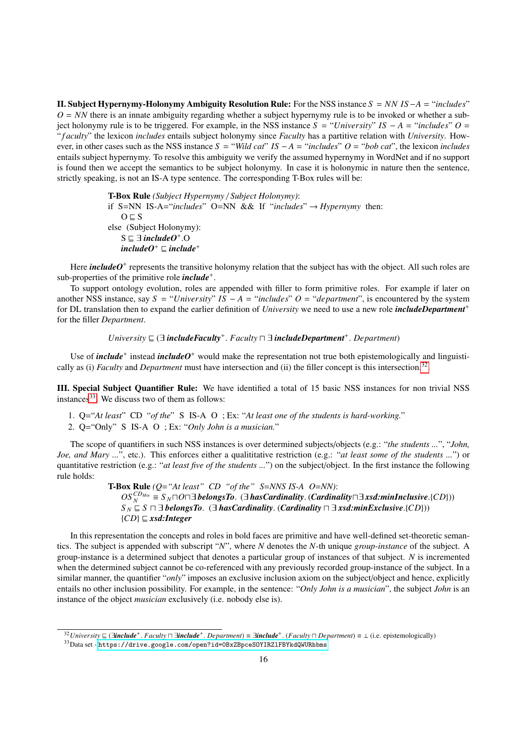II. Subject Hypernymy-Holonymy Ambiguity Resolution Rule: For the NSS instance *S* = *NN IS* −*A* = "*includes*"  $O = NN$  there is an innate ambiguity regarding whether a subject hypernymy rule is to be invoked or whether a subject holonymy rule is to be triggered. For example, in the NSS instance *S* = "*University*" *IS* − *A* = "*includes*" *O* = " *f aculty*" the lexicon *includes* entails subject holonymy since *Faculty* has a partitive relation with *University*. However, in other cases such as the NSS instance *S* = "*Wild cat*" *IS* − *A* = "*includes*" *O* = "*bob cat*", the lexicon *includes* entails subject hypernymy. To resolve this ambiguity we verify the assumed hypernymy in WordNet and if no support is found then we accept the semantics to be subject holonymy. In case it is holonymic in nature then the sentence, strictly speaking, is not an IS-A type sentence. The corresponding T-Box rules will be:

> T-Box Rule *(Subject Hypernymy* / *Subject Holonymy)*: if S=NN IS-A="*includes*" O=NN && If "*includes*" → *Hypernymy* then:  $O \sqsubset S$ else (Subject Holonymy):  $S \sqsubseteq \exists \text{ include } O^+.O$  $include^{+}$   $\Box$  *include*<sup>+</sup>

Here *includeO*<sup>+</sup> represents the transitive holonymy relation that the subject has with the object. All such roles are sub-properties of the primitive role *include*<sup>+</sup>.

To support ontology evolution, roles are appended with filler to form primitive roles. For example if later on another NSS instance, say  $S = "University" IS - A = "include's" O = "department", is encountered by the system$ for DL translation then to expand the earlier definition of *University* we need to use a new role *includeDepartment*<sup>+</sup> for the filler *Department*.

 $University ⊆ (∃ *includeFactory<sup>+</sup>*$ .  $Faculty ⊓ ∃ *includeDepartment<sup>+</sup>*$  *includeDepartment<sup>+</sup>*. *Department*)

Use of *include*<sup>+</sup> instead *includeO*<sup>+</sup> would make the representation not true both epistemologically and linguistically as (i) *Faculty* and *Department* must have intersection and (ii) the filler concept is this intersection.<sup>[32](#page-15-0)</sup>.

III. Special Subject Quantifier Rule: We have identified a total of 15 basic NSS instances for non trivial NSS instances $33$ . We discuss two of them as follows:

- 1. Q="*At least*" CD "*of the*" S IS-A O ; Ex: "*At least one of the students is hard-working.*"
- 2. Q="Only" S IS-A O ; Ex: "*Only John is a musician.*"

The scope of quantifiers in such NSS instances is over determined subjects/objects (e.g.: "*the students ...*", "*John, Joe, and Mary ...*", etc.). This enforces either a qualititative restriction (e.g.: "*at least some of the students ...*") or quantitative restriction (e.g.: "*at least five of the students ...*") on the subject/object. In the first instance the following rule holds:

> T-Box Rule *(Q*=*"At least" CD "of the" S*=*NNS IS-A O*=*NN)*:  $OS_N^{CD_{Min}}$  =  $S_N\Box O\Box$  *belongsTo.* ( $\exists$  *hasCardinality*. (*Cardinality* $\Box$  *xsd:minInclusive*.{*CD*}))<br> $S_N \Box S \Box \exists$  *belongsTo.* ( $\exists$  *hasCardinality*, (*Cardinality*  $\Box$   $\exists$  *xsd:minExclusive*.{*CD}*))) *S*  $_N$   $\subseteq$  *S*  $\sqcap$   $\exists$  *belongsTo.* ( $\exists$  *hasCardinality.* (*Cardinality*  $\sqcap$   $\exists$  *xsd:minExclusive.*{*CD*}))  ${CD} \subseteq xsd: Integer$

In this representation the concepts and roles in bold faces are primitive and have well-defined set-theoretic semantics. The subject is appended with subscript "*N*", where *N* denotes the *N*-th unique *group-instance* of the subject. A group-instance is a determined subject that denotes a particular group of instances of that subject. *N* is incremented when the determined subject cannot be co-referenced with any previously recorded group-instance of the subject. In a similar manner, the quantifier "*only*" imposes an exclusive inclusion axiom on the subject/object and hence, explicitly entails no other inclusion possibility. For example, in the sentence: "*Only John is a musician*", the subject *John* is an instance of the object *musician* exclusively (i.e. nobody else is).

<span id="page-15-0"></span><sup>&</sup>lt;sup>32</sup>University ⊑ (∃*include<sup>+</sup>*. *Faculty*  $\sqcap$  ∃*include<sup>+</sup>*. *Department*) ≡ ∃*include<sup>+</sup>*. (*Faculty*  $\sqcap$  *Department*) ≡ ⊥ (i.e. epistemologically)  $\frac{33 \text{Det set}}{2}$  by the set https://dxi us. google. segm/energia

<span id="page-15-1"></span> $^{33}\rm{Data}$  set - <code>https://drive.google.com/open?id=0BxZBpceSOYIRZ1FBYkdQWURhbms</code>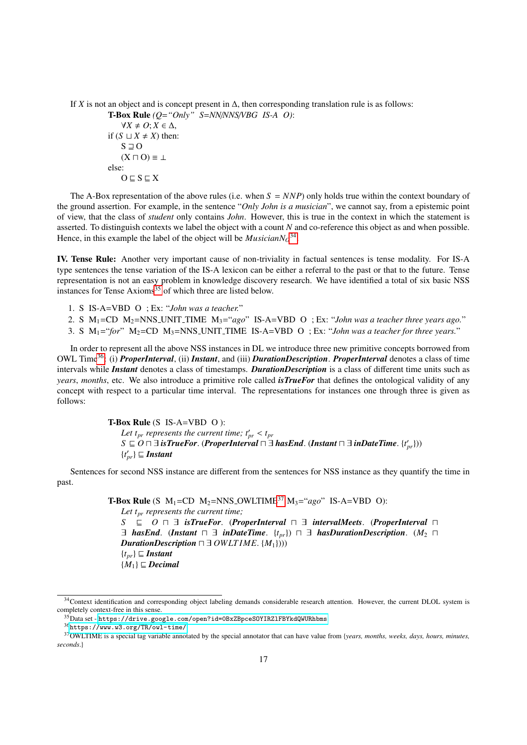If *X* is not an object and is concept present in  $\Delta$ , then corresponding translation rule is as follows: T-Box Rule *(Q*=*"Only" S*=*NN*/*NNS*/*VBG IS-A O)*:  $\forall X \neq O; X \in \Delta$ , if  $(S \sqcup X \neq X)$  then:  $S \sqsupset O$  $(X \sqcap O) \equiv \bot$ else:  $O \sqsubseteq S \sqsubseteq X$ 

The A-Box representation of the above rules (i.e. when  $S = NNP$ ) only holds true within the context boundary of the ground assertion. For example, in the sentence "*Only John is a musician*", we cannot say, from a epistemic point of view, that the class of *student* only contains *John*. However, this is true in the context in which the statement is asserted. To distinguish contexts we label the object with a count *N* and co-reference this object as and when possible. Hence, in this example the label of the object will be  $MusicianNo<sup>34</sup>$  $MusicianNo<sup>34</sup>$  $MusicianNo<sup>34</sup>$ .

IV. Tense Rule: Another very important cause of non-triviality in factual sentences is tense modality. For IS-A type sentences the tense variation of the IS-A lexicon can be either a referral to the past or that to the future. Tense representation is not an easy problem in knowledge discovery research. We have identified a total of six basic NSS instances for Tense  $Axioms^{35}$  $Axioms^{35}$  $Axioms^{35}$  of which three are listed below.

1. S IS-A=VBD O ; Ex: "*John was a teacher.*"

2. S M1=CD M2=NNS UNIT TIME M3="*ago*" IS-A=VBD O ; Ex: "*John was a teacher three years ago.*"

3. S  $M_1 =$ "*for*"  $M_2 = CD$   $M_3 = NNS$  UNIT TIME IS-A=VBD O ; Ex: "*John was a teacher for three years.*"

In order to represent all the above NSS instances in DL we introduce three new primitive concepts borrowed from OWL Time[36](#page-16-2): (i) *ProperInterval*, (ii) *Instant*, and (iii) *DurationDescription*. *ProperInterval* denotes a class of time intervals while *Instant* denotes a class of timestamps. *DurationDescription* is a class of different time units such as *years*, *months*, etc. We also introduce a primitive role called *isTrueFor* that defines the ontological validity of any concept with respect to a particular time interval. The representations for instances one through three is given as follows:

> T-Box Rule (S IS-A=VBD O ): *Let t<sub>pr</sub> represents the current time;*  $t'_{pr} < t_p$ *<br>* $S \sqsubset O \sqcap \exists$  *<i>isTrueFor* (ProperInterval  $\sqcap \exists$ *S*  $\subseteq$  *O*  $\sqcap$  ∃ *isTrueFor.* (*ProperInterval*  $\sqcap$  ∃ *hasEnd.* (*Instant*  $\sqcap$  ∃ *inDateTime.* {*t'<sub>pr</sub>}*))  $\{t'_{pr}\}\sqsubseteq$  **Instant**

Sentences for second NSS instance are different from the sentences for NSS instance as they quantify the time in past.

> **T-Box Rule** (S  $M_1$ =CD  $M_2$ =NNS\_OWLTIME<sup>[37](#page-16-3)</sup>  $M_3$ ="*ago*" IS-A=VBD O): *Let tpr represents the current time; S*  $\subseteq$  *O*  $\sqcap$  ∃ *isTrueFor.* (*ProperInterval*  $\sqcap$  ∃ *intervalMeets.* (*ProperInterval*  $\sqcap$ ∃ *hasEnd.* (*Instant*  $\Box$   $\exists$  *inDateTime.* {*t<sub>pr</sub>*})  $\Box$   $\exists$  *hasDurationDescription.* (*M*<sub>2</sub>  $\Box$ *DurationDescription*  $\Box \exists$  *OWLT IME*.  $\{M_1\}$  $))$  ${t}_{pr}$  $\subseteq$  *Instant*  ${M_1} \subseteq Decimal$

<span id="page-16-0"></span><sup>&</sup>lt;sup>34</sup>Context identification and corresponding object labeling demands considerable research attention. However, the current DLOL system is completely context-free in this sense.

<span id="page-16-1"></span><sup>35</sup>Data set - <https://drive.google.com/open?id=0BxZBpceSOYIRZlFBYkdQWURhbms>

<span id="page-16-3"></span><span id="page-16-2"></span><sup>36</sup><https://www.w3.org/TR/owl-time/>

<sup>37</sup>OWLTIME is a special tag variable annotated by the special annotator that can have value from {*years, months, weeks, days, hours, minutes, seconds*.}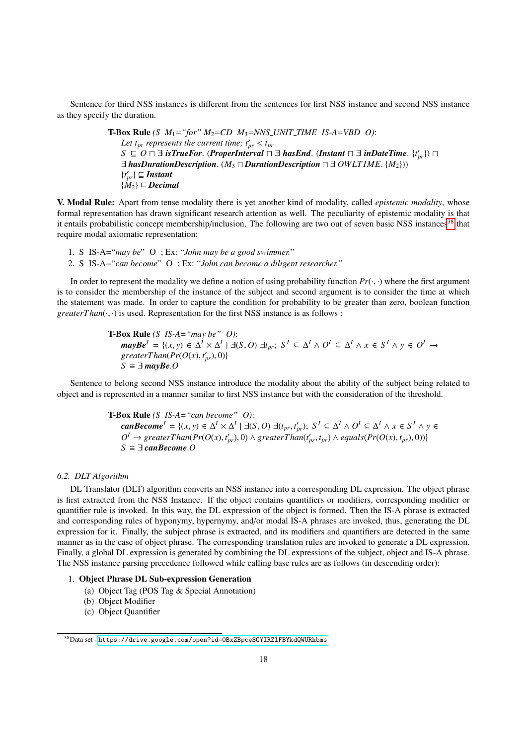Sentence for third NSS instances is different from the sentences for first NSS instance and second NSS instance as they specify the duration.

> **T-Box Rule** *(S*  $M_1$ *="for"*  $M_2$ *=CD*  $M_3$ *=NNS\_UNIT\_TIME IS-A=VBD 0): Let t<sub>pr</sub> represents the current time;*  $t'_{pr} < t_p$ *<br>* $S \subset \Omega \cap \exists$  *<i>isTrueFor* (ProperInterval) *S*  $\subseteq$  *O*  $\sqcap$  ∃ *isTrueFor.* (*ProperInterval*  $\sqcap$  ∃ *hasEnd.* (*Instant*  $\sqcap$  ∃ *inDateTime.* {*t*<sub>*pr</sub>*})  $\sqcap$  ∃ *hasDurationDescription* (*M<sub>2</sub>*  $\sqcap$  *DurationDescription*  $\sqcap$  ∃ *OWLTIME* {*M<sub>2</sub>*}))</sub>  $\exists$  *hasDurationDescription.* ( $M_3 \sqcap$ *DurationDescription*  $\sqcap \exists$  *OWLTIME.* { $M_2$ }))  $\{t'_{pr}\}\sqsubseteq$  **Instant**  ${M_2} \sqsubseteq$  *Decimal*

V. Modal Rule: Apart from tense modality there is yet another kind of modality, called *epistemic modality*, whose formal representation has drawn significant research attention as well. The peculiarity of epistemic modality is that it entails probabilistic concept membership/inclusion. The following are two out of seven basic NSS instances<sup>[38](#page-17-0)</sup> that require modal axiomatic representation:

1. S IS-A="*may be*" O ; Ex: "*John may be a good swimmer.*"

2. S IS-A="*can become*" O ; Ex: "*John can become a diligent researcher.*"

In order to represent the modality we define a notion of using probability function  $Pr(\cdot, \cdot)$  where the first argument is to consider the membership of the instance of the subject and second argument is to consider the time at which the statement was made. In order to capture the condition for probability to be greater than zero, boolean function *greaterThan* $(\cdot, \cdot)$  is used. Representation for the first NSS instance is as follows :

> T-Box Rule *(S IS-A*=*"may be" O)*:  $\textit{mayBe}^l = \{(x, y) \in \Delta^l \times \Delta^l \mid \exists (S, O) \exists t_{pr}; S^l \subseteq \Delta^l \wedge O^l \subseteq \Delta^l \wedge x \in S^l \wedge y \in O^l \rightarrow \text{order} \text{Then}(Pr(O(x), t') \cup \text{ON})$  $\text{greater} \text{Tan}(\text{Pr}(O(x), t'_{pr}), 0)$ }<br>  $S = \exists \text{ } \text{max} \text{Re } O$  $S \equiv ∃$ *mayBe.O*

Sentence to belong second NSS instance introduce the modality about the ability of the subject being related to object and is represented in a manner similar to first NSS instance but with the consideration of the threshold.

> T-Box Rule *(S IS-A*=*"can become" O)*: **canBecome**<sup> $I = \{(x, y) \in \Delta^I \times \Delta^I \mid \exists (S, O) \exists (t_{pr}, t'_{pr}); S^I \subseteq \Delta^I \wedge O^I \subseteq \Delta^I \wedge x \in S^I \wedge y \in O^I \}$ </sup>  $O^I \rightarrow \text{greater} \text{Tan}(Pr(O(x), t'_{pr}), 0) \land \text{greater} \text{Tan}(t'_{pr}, t_{pr}) \land \text{equals}(Pr(O(x), t_{pr}), 0))$ <br>S =  $\exists \text{ can } Recome O$  $S \equiv \exists$  *canBecome.O*

#### *6.2. DLT Algorithm*

DL Translator (DLT) algorithm converts an NSS instance into a corresponding DL expression. The object phrase is first extracted from the NSS Instance. If the object contains quantifiers or modifiers, corresponding modifier or quantifier rule is invoked. In this way, the DL expression of the object is formed. Then the IS-A phrase is extracted and corresponding rules of hyponymy, hypernymy, and/or modal IS-A phrases are invoked, thus, generating the DL expression for it. Finally, the subject phrase is extracted, and its modifiers and quantifiers are detected in the same manner as in the case of object phrase. The corresponding translation rules are invoked to generate a DL expression. Finally, a global DL expression is generated by combining the DL expressions of the subject, object and IS-A phrase. The NSS instance parsing precedence followed while calling base rules are as follows (in descending order):

# 1. Object Phrase DL Sub-expression Generation

- (a) Object Tag (POS Tag & Special Annotation)
- (b) Object Modifier
- (c) Object Quantifier

<span id="page-17-0"></span><sup>38</sup>Data set - <https://drive.google.com/open?id=0BxZBpceSOYIRZlFBYkdQWURhbms>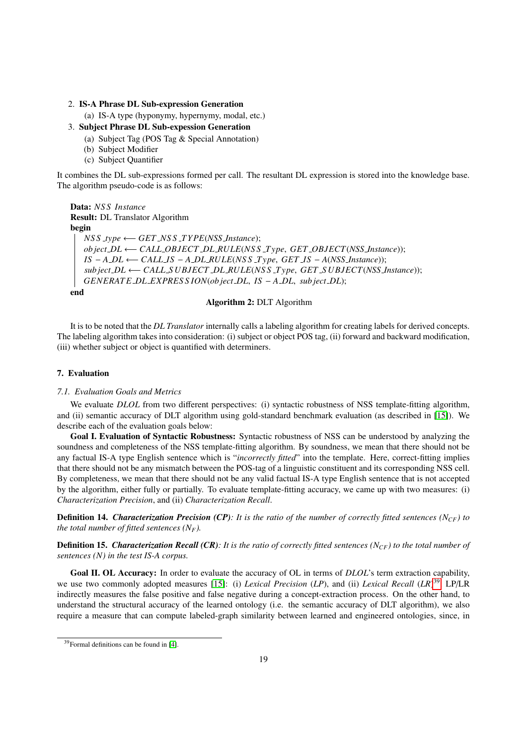#### 2. IS-A Phrase DL Sub-expression Generation

(a) IS-A type (hyponymy, hypernymy, modal, etc.)

#### 3. Subject Phrase DL Sub-expession Generation

- (a) Subject Tag (POS Tag & Special Annotation)
- (b) Subject Modifier
- (c) Subject Quantifier

It combines the DL sub-expressions formed per call. The resultant DL expression is stored into the knowledge base. The algorithm pseudo-code is as follows:

Data: *NS S Instance* Result: DL Translator Algorithm begin *NS S type* ←− *GET NS S T YPE*(*NSS Instance*); *ob ject DL* ←− *CALL OBJECT DL RULE*(*NS S T ype*, *GET OBJECT*(*NSS Instance*)); *IS* <sup>−</sup> *<sup>A</sup> DL* ←− *CALL IS* <sup>−</sup> *<sup>A</sup> DL RULE*(*NS S T ype*, *GET IS* <sup>−</sup> *<sup>A</sup>*(*NSS Instance*)); *sub ject DL* ←− *CALL S UBJECT DL RULE*(*NS S T ype*, *GET S UBJECT*(*NSS Instance*)); *GENERAT E DL EXPRES S ION*(*ob ject DL*, *IS* <sup>−</sup> *<sup>A</sup> DL*, *sub ject DL*);

end

## Algorithm 2: DLT Algorithm

It is to be noted that the *DL Translator* internally calls a labeling algorithm for creating labels for derived concepts. The labeling algorithm takes into consideration: (i) subject or object POS tag, (ii) forward and backward modification, (iii) whether subject or object is quantified with determiners.

# 7. Evaluation

#### *7.1. Evaluation Goals and Metrics*

We evaluate *DLOL* from two different perspectives: (i) syntactic robustness of NSS template-fitting algorithm, and (ii) semantic accuracy of DLT algorithm using gold-standard benchmark evaluation (as described in [\[15\]](#page-29-1)). We describe each of the evaluation goals below:

Goal I. Evaluation of Syntactic Robustness: Syntactic robustness of NSS can be understood by analyzing the soundness and completeness of the NSS template-fitting algorithm. By soundness, we mean that there should not be any factual IS-A type English sentence which is "*incorrectly fitted*" into the template. Here, correct-fitting implies that there should not be any mismatch between the POS-tag of a linguistic constituent and its corresponding NSS cell. By completeness, we mean that there should not be any valid factual IS-A type English sentence that is not accepted by the algorithm, either fully or partially. To evaluate template-fitting accuracy, we came up with two measures: (i) *Characterization Precision*, and (ii) *Characterization Recall*.

Definition 14. *Characterization Precision (CP): It is the ratio of the number of correctly fitted sentences (NCF) to the total number of fitted sentences*  $(N_F)$ *.* 

Definition 15. *Characterization Recall (CR): It is the ratio of correctly fitted sentences (NCF) to the total number of sentences (N) in the test IS-A corpus.*

Goal II. OL Accuracy: In order to evaluate the accuracy of OL in terms of *DLOL*'s term extraction capability, we use two commonly adopted measures [\[15\]](#page-29-1): (i) *Lexical Precision* (*LP*), and (ii) *Lexical Recall* (*LR*) [39](#page-18-0). LP/LR indirectly measures the false positive and false negative during a concept-extraction process. On the other hand, to understand the structural accuracy of the learned ontology (i.e. the semantic accuracy of DLT algorithm), we also require a measure that can compute labeled-graph similarity between learned and engineered ontologies, since, in

<span id="page-18-0"></span><sup>39</sup>Formal definitions can be found in [\[4\]](#page-28-6).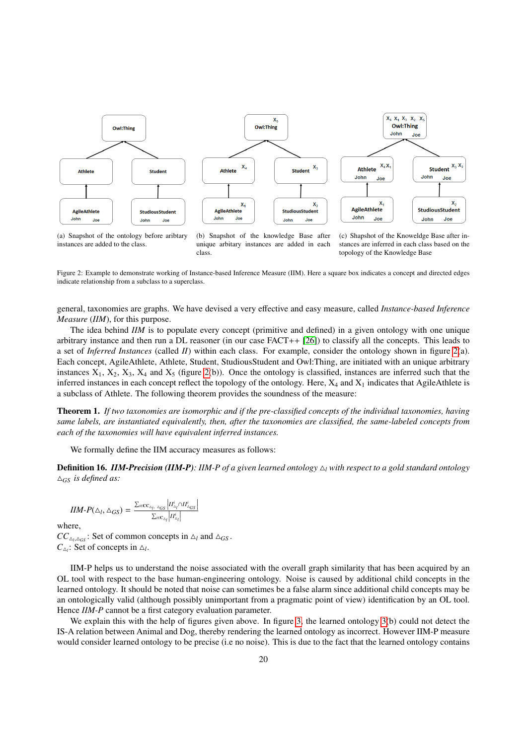

(a) Snapshot of the ontology before aribtary instances are added to the class.

(b) Snapshot of the knowledge Base after unique arbitary instances are added in each class.

(c) Shapshot of the Knoweldge Base after instances are inferred in each class based on the topology of the Knowledge Base

<span id="page-19-0"></span>Figure 2: Example to demonstrate working of Instance-based Inference Measure (IIM). Here a square box indicates a concept and directed edges indicate relationship from a subclass to a superclass.

general, taxonomies are graphs. We have devised a very effective and easy measure, called *Instance-based Inference Measure* (*IIM*), for this purpose.

The idea behind *IIM* is to populate every concept (primitive and defined) in a given ontology with one unique arbitrary instance and then run a DL reasoner (in our case FACT++ [\[26\]](#page-29-12)) to classify all the concepts. This leads to a set of *Inferred Instances* (called *II*) within each class. For example, consider the ontology shown in figure [2\(](#page-19-0)a). Each concept, AgileAthlete, Athlete, Student, StudiousStudent and Owl:Thing, are initiated with an unique arbitrary instances  $X_1, X_2, X_3, X_4$  and  $X_5$  (figure [2\(](#page-19-0)b)). Once the ontology is classified, instances are inferred such that the inferred instances in each concept reflect the topology of the ontology. Here,  $X_4$  and  $X_1$  indicates that AgileAthlete is a subclass of Athlete. The following theorem provides the soundness of the measure:

Theorem 1. *If two taxonomies are isomorphic and if the pre-classified concepts of the individual taxonomies, having same labels, are instantiated equivalently, then, after the taxonomies are classified, the same-labeled concepts from each of the taxonomies will have equivalent inferred instances.*

We formally define the IIM accuracy measures as follows:

**Definition 16.** *IIM-Precision (IIM-P)*: *IIM-P of a given learned ontology*  $\Delta_l$  *with respect to a gold standard ontology*  $\Delta$ <sub>*GS</sub> is defined as:*</sub>

$$
IIM-P(\triangle_l, \triangle_{GS}) = \frac{\sum_{i \in \mathbf{C}_{\triangle_l}, \ \triangle_{GS}} |II_{\triangle_l}^i \cap II_{\triangle_{GS}}^i|}{\sum_{i \in \mathbf{C}_{\triangle_l}} |II_{\triangle_l}^i|}
$$

where,

 $CC_{\Delta_l, \Delta_{GS}}$ : Set of common concepts in  $\Delta_l$  and  $\Delta_{GS}$ .  $C_{\Delta_l}$ : Set of concepts in  $\Delta_l$ .

IIM-P helps us to understand the noise associated with the overall graph similarity that has been acquired by an OL tool with respect to the base human-engineering ontology. Noise is caused by additional child concepts in the learned ontology. It should be noted that noise can sometimes be a false alarm since additional child concepts may be an ontologically valid (although possibly unimportant from a pragmatic point of view) identification by an OL tool. Hence *IIM-P* cannot be a first category evaluation parameter.

We explain this with the help of figures given above. In figure [3,](#page-20-0) the learned ontology [3\(](#page-20-0)b) could not detect the IS-A relation between Animal and Dog, thereby rendering the learned ontology as incorrect. However IIM-P measure would consider learned ontology to be precise (i.e no noise). This is due to the fact that the learned ontology contains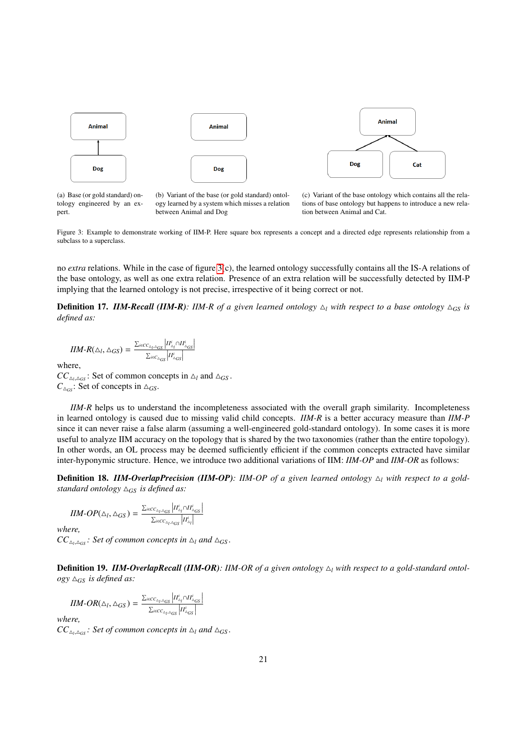

(a) Base (or gold standard) ontology engineered by an expert.

(b) Variant of the base (or gold standard) ontology learned by a system which misses a relation between Animal and Dog

(c) Variant of the base ontology which contains all the relations of base ontology but happens to introduce a new relation between Animal and Cat.

<span id="page-20-0"></span>Figure 3: Example to demonstrate working of IIM-P. Here square box represents a concept and a directed edge represents relationship from a subclass to a superclass.

no *extra* relations. While in the case of figure [3\(](#page-20-0)c), the learned ontology successfully contains all the IS-A relations of the base ontology, as well as one extra relation. Presence of an extra relation will be successfully detected by IIM-P implying that the learned ontology is not precise, irrespective of it being correct or not.

**Definition 17.** *IIM-Recall (IIM-R)*: *IIM-R of a given learned ontology*  $\Delta_l$  *with respect to a base ontology*  $\Delta_{GS}$  *is defined as:*

 $IIM-R(\triangle_l, \triangle_{GS}) = \frac{\sum_{i \in CC_{\triangle_l, \triangle_{GS}}}\left|II_{\triangle_l}^i \cap II_{\triangle_{GS}}^i\right|}{\sum_{i \in C_{\triangle_{GS}}}\left|II_{\triangle_{GS}}^i\right|}$ 

where,

 $CC_{\Delta_l, \Delta_{GS}}$ : Set of common concepts in  $\Delta_l$  and  $\Delta_{GS}$ .  $C_{\Delta_{GS}}$ : Set of concepts in  $\Delta_{GS}$ .

*IIM-R* helps us to understand the incompleteness associated with the overall graph similarity. Incompleteness in learned ontology is caused due to missing valid child concepts. *IIM-R* is a better accuracy measure than *IIM-P* since it can never raise a false alarm (assuming a well-engineered gold-standard ontology). In some cases it is more useful to analyze IIM accuracy on the topology that is shared by the two taxonomies (rather than the entire topology). In other words, an OL process may be deemed sufficiently efficient if the common concepts extracted have similar inter-hyponymic structure. Hence, we introduce two additional variations of IIM: *IIM-OP* and *IIM-OR* as follows:

**Definition 18. IIM-OverlapPrecision (IIM-OP):** IIM-OP of a given learned ontology  $\Delta_l$  with respect to a gold*standard ontology*  $\Delta_{GS}$  *is defined as:* 

$$
IIM\text{-}OP(\triangle_l,\triangle_{GS}) = \frac{\sum_{i \in CC_{\triangle_l,\triangle_{GS}}}\left|II^i_{\triangle_l} \cap I^i_{\triangle_{GS}}\right|}{\sum_{i \in CC_{\triangle_l,\triangle_{GS}}}\left|I^i_{\triangle_l}\right|}
$$

I *where,*  $CC_{\Delta_l, \Delta_{GS}}$ : Set of common concepts in  $\Delta_l$  and  $\Delta_{GS}$ .

**Definition 19. IIM-OverlapRecall (IIM-OR)**: IIM-OR of a given ontology  $\Delta$ <sub>l</sub> with respect to a gold-standard ontol- $\log y \triangle_{GS}$  *is defined as:* 

$$
IIM\text{-}OR(\triangle_I, \triangle_{GS}) = \frac{\sum_{i \in CC_{\triangle_I, \triangle_{GS}}}\left|II_{\triangle_I}^i \cap II_{\triangle_{GS}}^i\right|}{\sum_{i \in CC_{\triangle_I, \triangle_{GS}}}\left|II_{\triangle_{GS}}^i\right|}
$$

*where,*

 $CC_{\Delta_l, \Delta_{GS}}$ : Set of common concepts in  $\Delta_l$  and  $\Delta_{GS}$ .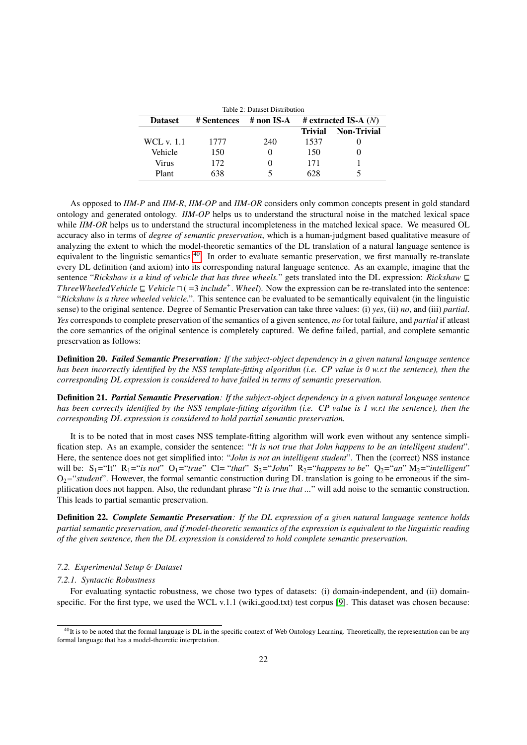<span id="page-21-1"></span>

| Table 2: Dataset Distribution |                                                     |     |                |                    |  |  |  |  |  |
|-------------------------------|-----------------------------------------------------|-----|----------------|--------------------|--|--|--|--|--|
| <b>Dataset</b>                | # extracted IS-A $(N)$<br># Sentences<br># non IS-A |     |                |                    |  |  |  |  |  |
|                               |                                                     |     | <b>Trivial</b> | <b>Non-Trivial</b> |  |  |  |  |  |
| WCL v. 1.1                    | 1777                                                | 240 | 1537           |                    |  |  |  |  |  |
| Vehicle                       | 150                                                 |     | 150            |                    |  |  |  |  |  |
| Virus                         | 172                                                 |     | 171            |                    |  |  |  |  |  |
| Plant                         | 638                                                 |     | 628            |                    |  |  |  |  |  |

As opposed to *IIM-P* and *IIM-R*, *IIM-OP* and *IIM-OR* considers only common concepts present in gold standard ontology and generated ontology. *IIM-OP* helps us to understand the structural noise in the matched lexical space while *IIM-OR* helps us to understand the structural incompleteness in the matched lexical space. We measured OL accuracy also in terms of *degree of semantic preservation*, which is a human-judgment based qualitative measure of analyzing the extent to which the model-theoretic semantics of the DL translation of a natural language sentence is equivalent to the linguistic semantics <sup>[40](#page-21-0)</sup>. In order to evaluate semantic preservation, we first manually re-translate every DL definition (and axiom) into its corresponding natural language sentence. As an example, imagine that the sentence "*Rickshaw is a kind of vehicle that has three wheels.*" gets translated into the DL expression: *Rickshaw*  $\sqsubseteq$ *ThreeWheeledVehicle*  $\subseteq$  *Vehicle*  $\cap$  (=3 *include<sup>+</sup>*. *Wheel*). Now the expression can be re-translated into the sentence:<br>"*Rickshaw is a three wheeled vehicle*". This sentence can be evaluated to be semantically e "*Rickshaw is a three wheeled vehicle.*". This sentence can be evaluated to be semantically equivalent (in the linguistic sense) to the original sentence. Degree of Semantic Preservation can take three values: (i) *yes*, (ii) *no*, and (iii) *partial*. *Yes* corresponds to complete preservation of the semantics of a given sentence, *no* for total failure, and *partial* if atleast the core semantics of the original sentence is completely captured. We define failed, partial, and complete semantic preservation as follows:

Definition 20. *Failed Semantic Preservation: If the subject-object dependency in a given natural language sentence has been incorrectly identified by the NSS template-fitting algorithm (i.e. CP value is 0 w.r.t the sentence), then the corresponding DL expression is considered to have failed in terms of semantic preservation.*

Definition 21. *Partial Semantic Preservation: If the subject-object dependency in a given natural language sentence has been correctly identified by the NSS template-fitting algorithm (i.e. CP value is 1 w.r.t the sentence), then the corresponding DL expression is considered to hold partial semantic preservation.*

It is to be noted that in most cases NSS template-fitting algorithm will work even without any sentence simplification step. As an example, consider the sentence: "*It is not true that John happens to be an intelligent student*". Here, the sentence does not get simplified into: "*John is not an intelligent student*". Then the (correct) NSS instance will be:  $S_1$ ="It"  $R_1$ ="*is not*"  $O_1$ ="*true*"  $Cl$ = "*that*"  $S_2$ ="*John*"  $R_2$ ="*happens to be*"  $Q_2$ ="*an*"  $M_2$ ="*intelligent*"  $O_2$ ="*student*". However, the formal semantic construction during DL translation is going to be erroneous if the simplification does not happen. Also, the redundant phrase "*It is true that ...*" will add noise to the semantic construction. This leads to partial semantic preservation.

Definition 22. *Complete Semantic Preservation: If the DL expression of a given natural language sentence holds partial semantic preservation, and if model-theoretic semantics of the expression is equivalent to the linguistic reading of the given sentence, then the DL expression is considered to hold complete semantic preservation.*

#### *7.2. Experimental Setup* & *Dataset*

#### *7.2.1. Syntactic Robustness*

For evaluating syntactic robustness, we chose two types of datasets: (i) domain-independent, and (ii) domain-specific. For the first type, we used the WCL v.1.1 (wiki good.txt) test corpus [\[9\]](#page-28-8). This dataset was chosen because:

<span id="page-21-0"></span> $^{40}$ It is to be noted that the formal language is DL in the specific context of Web Ontology Learning. Theoretically, the representation can be any formal language that has a model-theoretic interpretation.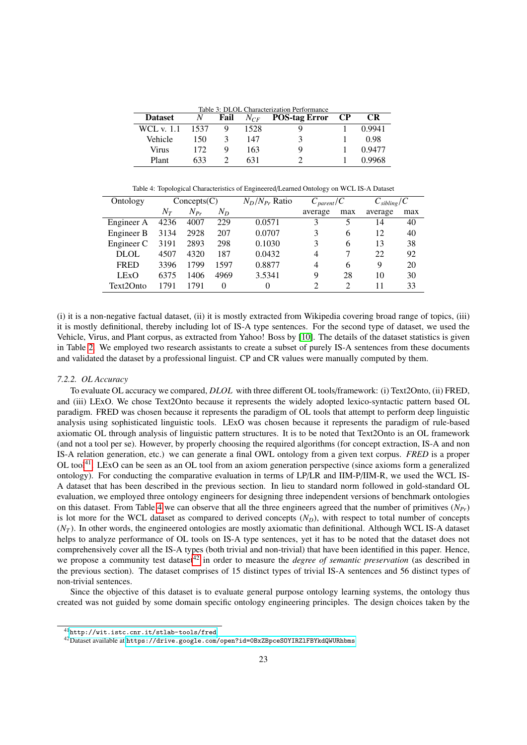<span id="page-22-3"></span>Table 3: DLOL Characterization Performance

| <b>Dataset</b>    | N    | Fail | $N_{CF}$ | POS-tag Error CP | <b>CR</b> |
|-------------------|------|------|----------|------------------|-----------|
| <b>WCL</b> v. 1.1 | 1537 |      | 1528     |                  | 0.9941    |
| Vehicle           | 150  |      | 147      |                  | 0.98      |
| Virus             | 172  |      | 163      |                  | 0.9477    |
| Plant             | 633  |      | 631      |                  | 0.9968    |

<span id="page-22-1"></span>Table 4: Topological Characteristics of Engineered/Learned Ontology on WCL IS-A Dataset

| Ontology    |       |          | $N_D/N_{Pr}$ Ratio<br>$C_{\text{parent}}/C$<br>Concepts(C) |        |               | $C_{\text{sibling}}/C$      |         |     |
|-------------|-------|----------|------------------------------------------------------------|--------|---------------|-----------------------------|---------|-----|
|             | $N_T$ | $N_{Pr}$ | $N_D$                                                      |        | average       | max                         | average | max |
| Engineer A  | 4236  | 4007     | 229                                                        | 0.0571 | 3             |                             | 14      | 40  |
| Engineer B  | 3134  | 2928     | 207                                                        | 0.0707 | 3             | 6                           | 12      | 40  |
| Engineer C  | 3191  | 2893     | 298                                                        | 0.1030 | 3             | 6                           | 13      | 38  |
| <b>DLOL</b> | 4507  | 4320     | 187                                                        | 0.0432 | 4             |                             | 22      | 92  |
| <b>FRED</b> | 3396  | 1799     | 1597                                                       | 0.8877 | 4             | 6                           | 9       | 20  |
| <b>LExO</b> | 6375  | 1406     | 4969                                                       | 3.5341 | 9             | 28                          | 10      | 30  |
| Text2Onto   | 1791  | 1791     | 0                                                          | 0      | $\mathcal{L}$ | $\mathcal{D}_{\mathcal{L}}$ | 11      | 33  |

(i) it is a non-negative factual dataset, (ii) it is mostly extracted from Wikipedia covering broad range of topics, (iii) it is mostly definitional, thereby including lot of IS-A type sentences. For the second type of dataset, we used the Vehicle, Virus, and Plant corpus, as extracted from Yahoo! Boss by [\[10\]](#page-28-9). The details of the dataset statistics is given in Table [2.](#page-21-1) We employed two research assistants to create a subset of purely IS-A sentences from these documents and validated the dataset by a professional linguist. CP and CR values were manually computed by them.

#### *7.2.2. OL Accuracy*

To evaluate OL accuracy we compared, *DLOL* with three different OL tools/framework: (i) Text2Onto, (ii) FRED, and (iii) LExO. We chose Text2Onto because it represents the widely adopted lexico-syntactic pattern based OL paradigm. FRED was chosen because it represents the paradigm of OL tools that attempt to perform deep linguistic analysis using sophisticated linguistic tools. LExO was chosen because it represents the paradigm of rule-based axiomatic OL through analysis of linguistic pattern structures. It is to be noted that Text2Onto is an OL framework (and not a tool per se). However, by properly choosing the required algorithms (for concept extraction, IS-A and non IS-A relation generation, etc.) we can generate a final OWL ontology from a given text corpus. *FRED* is a proper OL tool<sup>[41](#page-22-0)</sup>. LExO can be seen as an OL tool from an axiom generation perspective (since axioms form a generalized ontology). For conducting the comparative evaluation in terms of LP/LR and IIM-P/IIM-R, we used the WCL IS-A dataset that has been described in the previous section. In lieu to standard norm followed in gold-standard OL evaluation, we employed three ontology engineers for designing three independent versions of benchmark ontologies on this dataset. From Table [4](#page-22-1) we can observe that all the three engineers agreed that the number of primitives (*NPr*) is lot more for the WCL dataset as compared to derived concepts  $(N_D)$ , with respect to total number of concepts  $(N<sub>T</sub>)$ . In other words, the engineered ontologies are mostly axiomatic than definitional. Although WCL IS-A dataset helps to analyze performance of OL tools on IS-A type sentences, yet it has to be noted that the dataset does not comprehensively cover all the IS-A types (both trivial and non-trivial) that have been identified in this paper. Hence, we propose a community test dataset<sup>[42](#page-22-2)</sup> in order to measure the *degree of semantic preservation* (as described in the previous section). The dataset comprises of 15 distinct types of trivial IS-A sentences and 56 distinct types of non-trivial sentences.

Since the objective of this dataset is to evaluate general purpose ontology learning systems, the ontology thus created was not guided by some domain specific ontology engineering principles. The design choices taken by the

<span id="page-22-0"></span><sup>41</sup><http://wit.istc.cnr.it/stlab-tools/fred>

<span id="page-22-2"></span><sup>42</sup>Dataset available at <https://drive.google.com/open?id=0BxZBpceSOYIRZlFBYkdQWURhbms>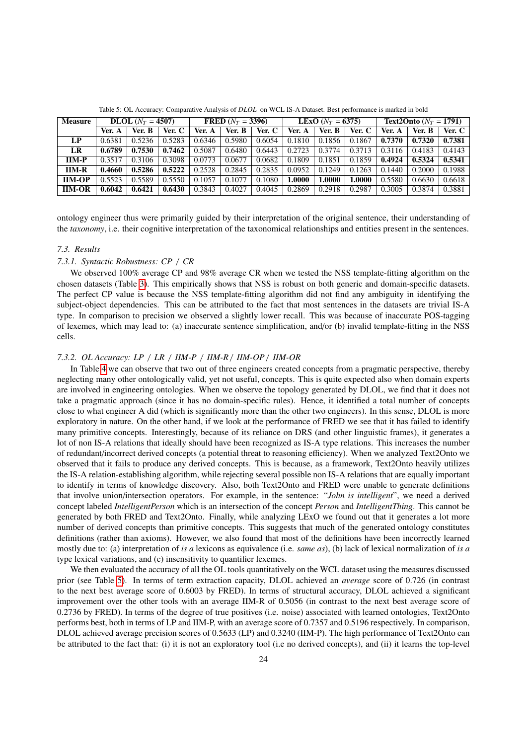| <b>Measure</b> | <b>DLOL</b> $(N_T = 4507)$ |        | <b>FRED</b> $(N_T = 3396)$ |        | <b>LEXO</b> ( $N_T = 6375$ ) |        |        | <b>Text2Onto</b> $(N_T = 1791)$ |        |        |        |          |
|----------------|----------------------------|--------|----------------------------|--------|------------------------------|--------|--------|---------------------------------|--------|--------|--------|----------|
|                | Ver. A                     | Ver. B | Ver. C                     | Ver. A | Ver. B                       | Ver. C | Ver. A | Ver. B                          | Ver. C | Ver. A | Ver. B | Ver. $C$ |
| LP             | 0.6381                     | 0.5236 | 0.5283                     | 0.6346 | 0.5980                       | 0.6054 | 0.1810 | 0.1856                          | 0.1867 | 0.7370 | 0.7320 | 0.7381   |
| LR             | 0.6789                     | 0.7530 | 0.7462                     | 0.5087 | 0.6480                       | 0.6443 | 0.2723 | 0.3774                          | 0.3713 | 0.3116 | 0.4183 | 0.4143   |
| $IM-P$         | 0.3517                     | 0.3106 | 0.3098                     | 0.0773 | 0.0677                       | 0.0682 | 0.1809 | 0.1851                          | 0.1859 | 0.4924 | 0.5324 | 0.5341   |
| $IM-R$         | 0.4660                     | 0.5286 | 0.5222                     | 0.2528 | 0.2845                       | 0.2835 | 0.0952 | 0.1249                          | 0.1263 | 0.1440 | 0.2000 | 0.1988   |
| <b>IIM-OP</b>  | 0.5523                     | 0.5589 | 0.5550                     | 0.1057 | 0.1077                       | 0.1080 | .0000  | 1.0000                          | 1.0000 | 0.5580 | 0.6630 | 0.6618   |
| <b>IIM-OR</b>  | 0.6042                     | 0.6421 | 0.6430                     | 0.3843 | 0.4027                       | 0.4045 | 0.2869 | 0.2918                          | 0.2987 | 0.3005 | 0.3874 | 0.3881   |

<span id="page-23-0"></span>Table 5: OL Accuracy: Comparative Analysis of *DLOL* on WCL IS-A Dataset. Best performance is marked in bold

ontology engineer thus were primarily guided by their interpretation of the original sentence, their understanding of the *taxonomy*, i.e. their cognitive interpretation of the taxonomical relationships and entities present in the sentences.

# *7.3. Results*

## *7.3.1. Syntactic Robustness: CP* / *CR*

We observed 100% average CP and 98% average CR when we tested the NSS template-fitting algorithm on the chosen datasets (Table [3\)](#page-22-3). This empirically shows that NSS is robust on both generic and domain-specific datasets. The perfect CP value is because the NSS template-fitting algorithm did not find any ambiguity in identifying the subject-object dependencies. This can be attributed to the fact that most sentences in the datasets are trivial IS-A type. In comparison to precision we observed a slightly lower recall. This was because of inaccurate POS-tagging of lexemes, which may lead to: (a) inaccurate sentence simplification, and/or (b) invalid template-fitting in the NSS cells.

## *7.3.2. OL Accuracy: LP* / *LR* / *IIM-P* / *IIM-R* / *IIM-OP* / *IIM-OR*

In Table [4](#page-22-1) we can observe that two out of three engineers created concepts from a pragmatic perspective, thereby neglecting many other ontologically valid, yet not useful, concepts. This is quite expected also when domain experts are involved in engineering ontologies. When we observe the topology generated by DLOL, we find that it does not take a pragmatic approach (since it has no domain-specific rules). Hence, it identified a total number of concepts close to what engineer A did (which is significantly more than the other two engineers). In this sense, DLOL is more exploratory in nature. On the other hand, if we look at the performance of FRED we see that it has failed to identify many primitive concepts. Interestingly, because of its reliance on DRS (and other linguistic frames), it generates a lot of non IS-A relations that ideally should have been recognized as IS-A type relations. This increases the number of redundant/incorrect derived concepts (a potential threat to reasoning efficiency). When we analyzed Text2Onto we observed that it fails to produce any derived concepts. This is because, as a framework, Text2Onto heavily utilizes the IS-A relation-establishing algorithm, while rejecting several possible non IS-A relations that are equally important to identify in terms of knowledge discovery. Also, both Text2Onto and FRED were unable to generate definitions that involve union/intersection operators. For example, in the sentence: "*John is intelligent*", we need a derived concept labeled *IntelligentPerson* which is an intersection of the concept *Person* and *IntelligentThing*. This cannot be generated by both FRED and Text2Onto. Finally, while analyzing LExO we found out that it generates a lot more number of derived concepts than primitive concepts. This suggests that much of the generated ontology constitutes definitions (rather than axioms). However, we also found that most of the definitions have been incorrectly learned mostly due to: (a) interpretation of *is a* lexicons as equivalence (i.e. *same as*), (b) lack of lexical normalization of *is a* type lexical variations, and (c) insensitivity to quantifier lexemes.

We then evaluated the accuracy of all the OL tools quantitatively on the WCL dataset using the measures discussed prior (see Table [5\)](#page-23-0). In terms of term extraction capacity, DLOL achieved an *average* score of 0.726 (in contrast to the next best average score of 0.6003 by FRED). In terms of structural accuracy, DLOL achieved a significant improvement over the other tools with an average IIM-R of 0.5056 (in contrast to the next best average score of 0.2736 by FRED). In terms of the degree of true positives (i.e. noise) associated with learned ontologies, Text2Onto performs best, both in terms of LP and IIM-P, with an average score of 0.7357 and 0.5196 respectively. In comparison, DLOL achieved average precision scores of 0.5633 (LP) and 0.3240 (IIM-P). The high performance of Text2Onto can be attributed to the fact that: (i) it is not an exploratory tool (i.e no derived concepts), and (ii) it learns the top-level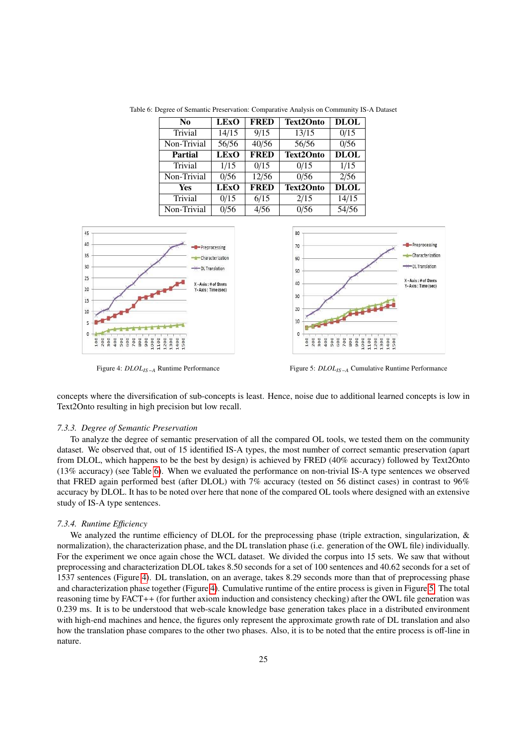<span id="page-24-0"></span>

| No             | <b>LExO</b>               | <b>FRED</b> | <b>Text2Onto</b> | <b>DLOL</b> |
|----------------|---------------------------|-------------|------------------|-------------|
| Trivial        | 14/15                     | 9/15        | 13/15            | 0/15        |
| Non-Trivial    | 56/56                     | 40/56       | 56/56            | 0/56        |
| <b>Partial</b> | $\overline{\text{LEX}}$ O | <b>FRED</b> | <b>Text2Onto</b> | <b>DLOL</b> |
| Trivial        | 1/15                      | 0/15        | 0/15             | 1/15        |
| Non-Trivial    | 0/56                      | 12/56       | 0/56             | 2/56        |
| Yes            | <b>LExO</b>               | <b>FRED</b> | <b>Text2Onto</b> | <b>DLOL</b> |
| Trivial        | 0/15                      | 6/15        | 2/15             | 14/15       |
| Non-Trivial    | 0/56                      | 4/56        | 0/56             | 54/56       |

Table 6: Degree of Semantic Preservation: Comparative Analysis on Community IS-A Dataset



<span id="page-24-2"></span>

<span id="page-24-1"></span>

Figure 4: *DLOLIS*−*<sup>A</sup>* Runtime Performance Figure 5: *DLOLIS*−*<sup>A</sup>* Cumulative Runtime Performance

concepts where the diversification of sub-concepts is least. Hence, noise due to additional learned concepts is low in Text2Onto resulting in high precision but low recall.

#### *7.3.3. Degree of Semantic Preservation*

To analyze the degree of semantic preservation of all the compared OL tools, we tested them on the community dataset. We observed that, out of 15 identified IS-A types, the most number of correct semantic preservation (apart from DLOL, which happens to be the best by design) is achieved by FRED (40% accuracy) followed by Text2Onto (13% accuracy) (see Table [6\)](#page-24-0). When we evaluated the performance on non-trivial IS-A type sentences we observed that FRED again performed best (after DLOL) with 7% accuracy (tested on 56 distinct cases) in contrast to 96% accuracy by DLOL. It has to be noted over here that none of the compared OL tools where designed with an extensive study of IS-A type sentences.

# *7.3.4. Runtime E*ffi*ciency*

We analyzed the runtime efficiency of DLOL for the preprocessing phase (triple extraction, singularization, & normalization), the characterization phase, and the DL translation phase (i.e. generation of the OWL file) individually. For the experiment we once again chose the WCL dataset. We divided the corpus into 15 sets. We saw that without preprocessing and characterization DLOL takes 8.50 seconds for a set of 100 sentences and 40.62 seconds for a set of 1537 sentences (Figure [4\)](#page-24-1). DL translation, on an average, takes 8.29 seconds more than that of preprocessing phase and characterization phase together (Figure [4\)](#page-24-1). Cumulative runtime of the entire process is given in Figure [5.](#page-24-2) The total reasoning time by FACT++ (for further axiom induction and consistency checking) after the OWL file generation was 0.239 ms. It is to be understood that web-scale knowledge base generation takes place in a distributed environment with high-end machines and hence, the figures only represent the approximate growth rate of DL translation and also how the translation phase compares to the other two phases. Also, it is to be noted that the entire process is off-line in nature.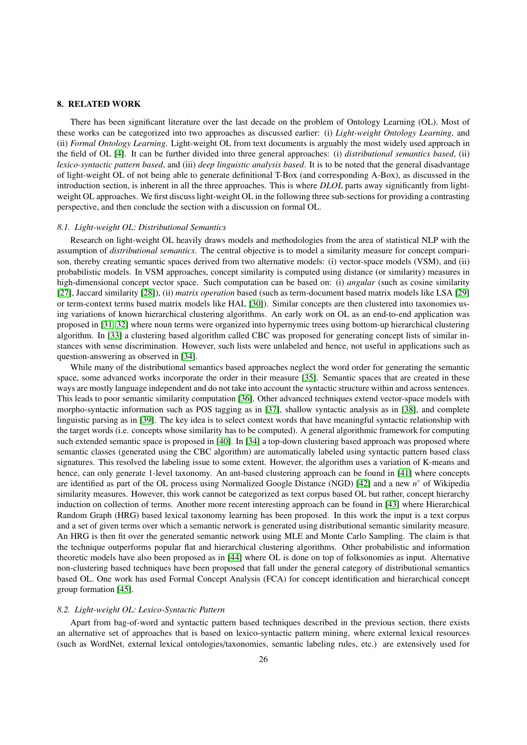#### 8. RELATED WORK

There has been significant literature over the last decade on the problem of Ontology Learning (OL). Most of these works can be categorized into two approaches as discussed earlier: (i) *Light-weight Ontology Learning*, and (ii) *Formal Ontology Learning*. Light-weight OL from text documents is arguably the most widely used approach in the field of OL [\[4\]](#page-28-6). It can be further divided into three general approaches: (i) *distributional semantics based*, (ii) *lexico-syntactic pattern based*, and (iii) *deep linguistic analysis based*. It is to be noted that the general disadvantage of light-weight OL of not being able to generate definitional T-Box (and corresponding A-Box), as discussed in the introduction section, is inherent in all the three approaches. This is where *DLOL* parts away significantly from lightweight OL approaches. We first discuss light-weight OL in the following three sub-sections for providing a contrasting perspective, and then conclude the section with a discussion on formal OL.

#### *8.1. Light-weight OL: Distributional Semantics*

Research on light-weight OL heavily draws models and methodologies from the area of statistical NLP with the assumption of *distributional semantics*. The central objective is to model a similarity measure for concept comparison, thereby creating semantic spaces derived from two alternative models: (i) vector-space models (VSM), and (ii) probabilistic models. In VSM approaches, concept similarity is computed using distance (or similarity) measures in high-dimensional concept vector space. Such computation can be based on: (i) *angular* (such as cosine similarity [\[27\]](#page-29-13), Jaccard similarity [\[28\]](#page-29-14)), (ii) *matrix operation* based (such as term-document based matrix models like LSA [\[29\]](#page-29-15) or term-context terms based matrix models like HAL [\[30\]](#page-29-16)). Similar concepts are then clustered into taxonomies using variations of known hierarchical clustering algorithms. An early work on OL as an end-to-end application was proposed in [\[31,](#page-29-17) [32\]](#page-29-18) where noun terms were organized into hypernymic trees using bottom-up hierarchical clustering algorithm. In [\[33\]](#page-29-19) a clustering based algorithm called CBC was proposed for generating concept lists of similar instances with sense discrimination. However, such lists were unlabeled and hence, not useful in applications such as question-answering as observed in [\[34\]](#page-29-20).

While many of the distributional semantics based approaches neglect the word order for generating the semantic space, some advanced works incorporate the order in their measure [\[35\]](#page-29-21). Semantic spaces that are created in these ways are mostly language independent and do not take into account the syntactic structure within and across sentences. This leads to poor semantic similarity computation [\[36\]](#page-29-22). Other advanced techniques extend vector-space models with morpho-syntactic information such as POS tagging as in [\[37\]](#page-29-23), shallow syntactic analysis as in [\[38\]](#page-29-24), and complete linguistic parsing as in [\[39\]](#page-29-25). The key idea is to select context words that have meaningful syntactic relationship with the target words (i.e. concepts whose similarity has to be computed). A general algorithmic framework for computing such extended semantic space is proposed in [\[40\]](#page-29-26). In [\[34\]](#page-29-20) a top-down clustering based approach was proposed where semantic classes (generated using the CBC algorithm) are automatically labeled using syntactic pattern based class signatures. This resolved the labeling issue to some extent. However, the algorithm uses a variation of K-means and hence, can only generate 1-level taxonomy. An ant-based clustering approach can be found in [\[41\]](#page-29-27) where concepts are identified as part of the OL process using Normalized Google Distance (NGD) [\[42\]](#page-29-28) and a new *n* ◦ of Wikipedia similarity measures. However, this work cannot be categorized as text corpus based OL but rather, concept hierarchy induction on collection of terms. Another more recent interesting approach can be found in [\[43\]](#page-29-29) where Hierarchical Random Graph (HRG) based lexical taxonomy learning has been proposed. In this work the input is a text corpus and a set of given terms over which a semantic network is generated using distributional semantic similarity measure. An HRG is then fit over the generated semantic network using MLE and Monte Carlo Sampling. The claim is that the technique outperforms popular flat and hierarchical clustering algorithms. Other probabilistic and information theoretic models have also been proposed as in [\[44\]](#page-29-30) where OL is done on top of folksonomies as input. Alternative non-clustering based techniques have been proposed that fall under the general category of distributional semantics based OL. One work has used Formal Concept Analysis (FCA) for concept identification and hierarchical concept group formation [\[45\]](#page-29-31).

#### *8.2. Light-weight OL: Lexico-Syntactic Pattern*

Apart from bag-of-word and syntactic pattern based techniques described in the previous section, there exists an alternative set of approaches that is based on lexico-syntactic pattern mining, where external lexical resources (such as WordNet, external lexical ontologies/taxonomies, semantic labeling rules, etc.) are extensively used for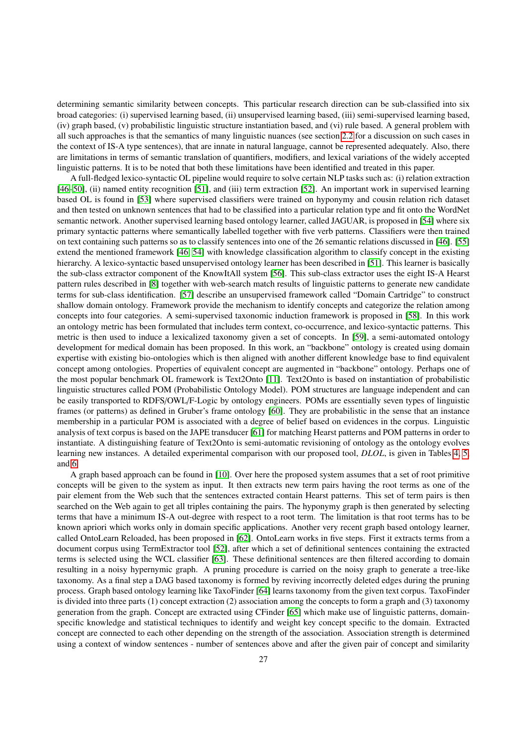determining semantic similarity between concepts. This particular research direction can be sub-classified into six broad categories: (i) supervised learning based, (ii) unsupervised learning based, (iii) semi-supervised learning based, (iv) graph based, (v) probabilistic linguistic structure instantiation based, and (vi) rule based. A general problem with all such approaches is that the semantics of many linguistic nuances (see section [2.2](#page-3-0) for a discussion on such cases in the context of IS-A type sentences), that are innate in natural language, cannot be represented adequately. Also, there are limitations in terms of semantic translation of quantifiers, modifiers, and lexical variations of the widely accepted linguistic patterns. It is to be noted that both these limitations have been identified and treated in this paper.

A full-fledged lexico-syntactic OL pipeline would require to solve certain NLP tasks such as: (i) relation extraction [\[46–](#page-29-32)[50\]](#page-29-33), (ii) named entity recognition [\[51\]](#page-29-34), and (iii) term extraction [\[52\]](#page-30-0). An important work in supervised learning based OL is found in [\[53\]](#page-30-1) where supervised classifiers were trained on hyponymy and cousin relation rich dataset and then tested on unknown sentences that had to be classified into a particular relation type and fit onto the WordNet semantic network. Another supervised learning based ontology learner, called JAGUAR, is proposed in [\[54\]](#page-30-2) where six primary syntactic patterns where semantically labelled together with five verb patterns. Classifiers were then trained on text containing such patterns so as to classify sentences into one of the 26 semantic relations discussed in [\[46\]](#page-29-32). [\[55\]](#page-30-3) extend the mentioned framework [\[46,](#page-29-32) [54\]](#page-30-2) with knowledge classification algorithm to classify concept in the existing hierarchy. A lexico-syntactic based unsupervised ontology learner has been described in [\[51\]](#page-29-34). This learner is basically the sub-class extractor component of the KnowItAll system [\[56\]](#page-30-4). This sub-class extractor uses the eight IS-A Hearst pattern rules described in [\[8\]](#page-28-7) together with web-search match results of linguistic patterns to generate new candidate terms for sub-class identification. [\[57\]](#page-30-5) describe an unsupervised framework called "Domain Cartridge" to construct shallow domain ontology. Framework provide the mechanism to identify concepts and categorize the relation among concepts into four categories. A semi-supervised taxonomic induction framework is proposed in [\[58\]](#page-30-6). In this work an ontology metric has been formulated that includes term context, co-occurrence, and lexico-syntactic patterns. This metric is then used to induce a lexicalized taxonomy given a set of concepts. In [\[59\]](#page-30-7), a semi-automated ontology development for medical domain has been proposed. In this work, an "backbone" ontology is created using domain expertise with existing bio-ontologies which is then aligned with another different knowledge base to find equivalent concept among ontologies. Properties of equivalent concept are augmented in "backbone" ontology. Perhaps one of the most popular benchmark OL framework is Text2Onto [\[11\]](#page-28-10). Text2Onto is based on instantiation of probabilistic linguistic structures called POM (Probabilistic Ontology Model). POM structures are language independent and can be easily transported to RDFS/OWL/F-Logic by ontology engineers. POMs are essentially seven types of linguistic frames (or patterns) as defined in Gruber's frame ontology [\[60\]](#page-30-8). They are probabilistic in the sense that an instance membership in a particular POM is associated with a degree of belief based on evidences in the corpus. Linguistic analysis of text corpus is based on the JAPE transducer [\[61\]](#page-30-9) for matching Hearst patterns and POM patterns in order to instantiate. A distinguishing feature of Text2Onto is semi-automatic revisioning of ontology as the ontology evolves learning new instances. A detailed experimental comparison with our proposed tool, *DLOL*, is given in Tables [4,](#page-22-1) [5,](#page-23-0) and [6.](#page-24-0)

A graph based approach can be found in [\[10\]](#page-28-9). Over here the proposed system assumes that a set of root primitive concepts will be given to the system as input. It then extracts new term pairs having the root terms as one of the pair element from the Web such that the sentences extracted contain Hearst patterns. This set of term pairs is then searched on the Web again to get all triples containing the pairs. The hyponymy graph is then generated by selecting terms that have a minimum IS-A out-degree with respect to a root term. The limitation is that root terms has to be known apriori which works only in domain specific applications. Another very recent graph based ontology learner, called OntoLearn Reloaded, has been proposed in [\[62\]](#page-30-10). OntoLearn works in five steps. First it extracts terms from a document corpus using TermExtractor tool [\[52\]](#page-30-0), after which a set of definitional sentences containing the extracted terms is selected using the WCL classifier [\[63\]](#page-30-11). These definitional sentences are then filtered according to domain resulting in a noisy hypernymic graph. A pruning procedure is carried on the noisy graph to generate a tree-like taxonomy. As a final step a DAG based taxonomy is formed by reviving incorrectly deleted edges during the pruning process. Graph based ontology learning like TaxoFinder [\[64\]](#page-30-12) learns taxonomy from the given text corpus. TaxoFinder is divided into three parts (1) concept extraction (2) association among the concepts to form a graph and (3) taxonomy generation from the graph. Concept are extracted using CFinder [\[65\]](#page-30-13) which make use of linguistic patterns, domainspecific knowledge and statistical techniques to identify and weight key concept specific to the domain. Extracted concept are connected to each other depending on the strength of the association. Association strength is determined using a context of window sentences - number of sentences above and after the given pair of concept and similarity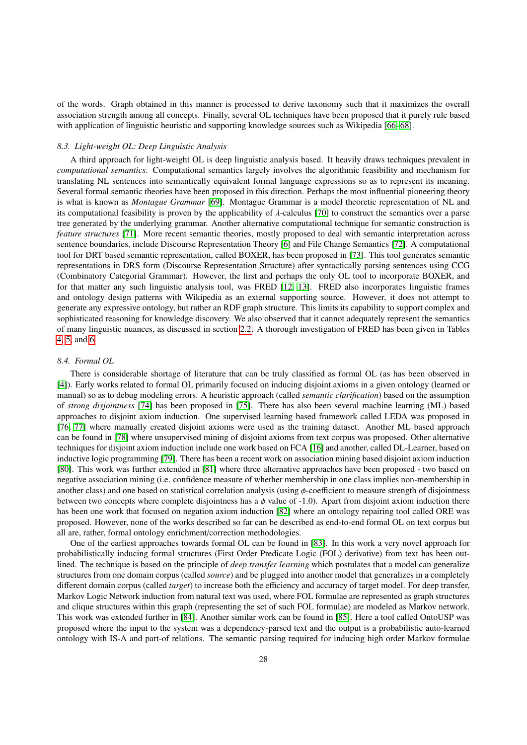of the words. Graph obtained in this manner is processed to derive taxonomy such that it maximizes the overall association strength among all concepts. Finally, several OL techniques have been proposed that it purely rule based with application of linguistic heuristic and supporting knowledge sources such as Wikipedia [\[66](#page-30-14)[–68\]](#page-30-15).

## *8.3. Light-weight OL: Deep Linguistic Analysis*

A third approach for light-weight OL is deep linguistic analysis based. It heavily draws techniques prevalent in *computational semantics*. Computational semantics largely involves the algorithmic feasibility and mechanism for translating NL sentences into semantically equivalent formal language expressions so as to represent its meaning. Several formal semantic theories have been proposed in this direction. Perhaps the most influential pioneering theory is what is known as *Montague Grammar* [\[69\]](#page-30-16). Montague Grammar is a model theoretic representation of NL and its computational feasibility is proven by the applicability of λ-calculus [\[70\]](#page-30-17) to construct the semantics over a parse tree generated by the underlying grammar. Another alternative computational technique for semantic construction is *feature structures* [\[71\]](#page-30-18). More recent semantic theories, mostly proposed to deal with semantic interpretation across sentence boundaries, include Discourse Representation Theory [\[6\]](#page-28-4) and File Change Semantics [\[72\]](#page-30-19). A computational tool for DRT based semantic representation, called BOXER, has been proposed in [\[73\]](#page-30-20). This tool generates semantic representations in DRS form (Discourse Representation Structure) after syntactically parsing sentences using CCG (Combinatory Categorial Grammar). However, the first and perhaps the only OL tool to incorporate BOXER, and for that matter any such linguistic analysis tool, was FRED [\[12,](#page-28-11) [13\]](#page-28-12). FRED also incorporates linguistic frames and ontology design patterns with Wikipedia as an external supporting source. However, it does not attempt to generate any expressive ontology, but rather an RDF graph structure. This limits its capability to support complex and sophisticated reasoning for knowledge discovery. We also observed that it cannot adequately represent the semantics of many linguistic nuances, as discussed in section [2.2.](#page-3-0) A thorough investigation of FRED has been given in Tables [4,](#page-22-1) [5,](#page-23-0) and [6.](#page-24-0)

#### *8.4. Formal OL*

There is considerable shortage of literature that can be truly classified as formal OL (as has been observed in [\[4\]](#page-28-6)). Early works related to formal OL primarily focused on inducing disjoint axioms in a given ontology (learned or manual) so as to debug modeling errors. A heuristic approach (called *semantic clarification*) based on the assumption of *strong disjointness* [\[74\]](#page-30-21) has been proposed in [\[75\]](#page-30-22). There has also been several machine learning (ML) based approaches to disjoint axiom induction. One supervised learning based framework called LEDA was proposed in [\[76,](#page-30-23) [77\]](#page-30-24) where manually created disjoint axioms were used as the training dataset. Another ML based approach can be found in [\[78\]](#page-30-25) where unsupervised mining of disjoint axioms from text corpus was proposed. Other alternative techniques for disjoint axiom induction include one work based on FCA [\[16\]](#page-29-2) and another, called DL-Learner, based on inductive logic programming [\[79\]](#page-30-26). There has been a recent work on association mining based disjoint axiom induction [\[80\]](#page-30-27). This work was further extended in [\[81\]](#page-30-28) where three alternative approaches have been proposed - two based on negative association mining (i.e. confidence measure of whether membership in one class implies non-membership in another class) and one based on statistical correlation analysis (using  $\phi$ -coefficient to measure strength of disjointness between two concepts where complete disjointness has a  $\phi$  value of -1.0). Apart from disjoint axiom induction there has been one work that focused on negation axiom induction [\[82\]](#page-30-29) where an ontology repairing tool called ORE was proposed. However, none of the works described so far can be described as end-to-end formal OL on text corpus but all are, rather, formal ontology enrichment/correction methodologies.

One of the earliest approaches towards formal OL can be found in [\[83\]](#page-30-30). In this work a very novel approach for probabilistically inducing formal structures (First Order Predicate Logic (FOL) derivative) from text has been outlined. The technique is based on the principle of *deep transfer learning* which postulates that a model can generalize structures from one domain corpus (called *source*) and be plugged into another model that generalizes in a completely different domain corpus (called *target*) to increase both the efficiency and accuracy of target model. For deep transfer, Markov Logic Network induction from natural text was used, where FOL formulae are represented as graph structures and clique structures within this graph (representing the set of such FOL formulae) are modeled as Markov network. This work was extended further in [\[84\]](#page-30-31). Another similar work can be found in [\[85\]](#page-30-32). Here a tool called OntoUSP was proposed where the input to the system was a dependency-parsed text and the output is a probabilistic auto-learned ontology with IS-A and part-of relations. The semantic parsing required for inducing high order Markov formulae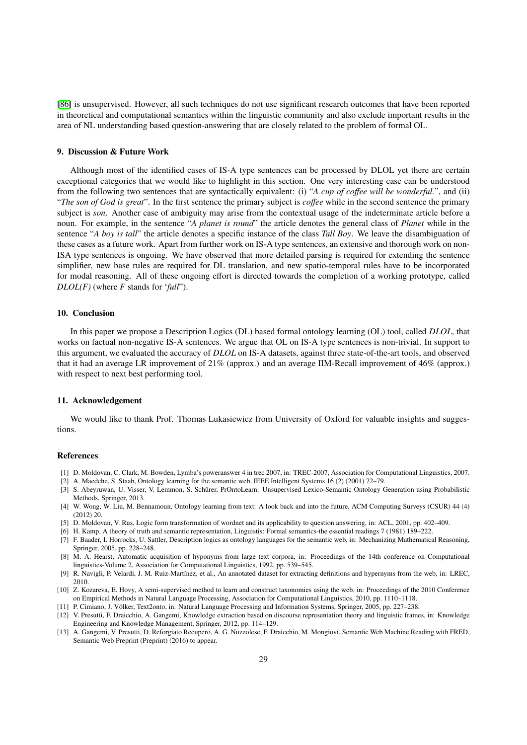[\[86\]](#page-30-33) is unsupervised. However, all such techniques do not use significant research outcomes that have been reported in theoretical and computational semantics within the linguistic community and also exclude important results in the area of NL understanding based question-answering that are closely related to the problem of formal OL.

# 9. Discussion & Future Work

Although most of the identified cases of IS-A type sentences can be processed by DLOL yet there are certain exceptional categories that we would like to highlight in this section. One very interesting case can be understood from the following two sentences that are syntactically equivalent: (i) "*A cup of co*ff*ee will be wonderful.*", and (ii) "*The son of God is great*". In the first sentence the primary subject is *co*ff*ee* while in the second sentence the primary subject is *son*. Another case of ambiguity may arise from the contextual usage of the indeterminate article before a noun. For example, in the sentence "*A planet is round*" the article denotes the general class of *Planet* while in the sentence "*A boy is tall*" the article denotes a specific instance of the class *Tall Boy*. We leave the disambiguation of these cases as a future work. Apart from further work on IS-A type sentences, an extensive and thorough work on non-ISA type sentences is ongoing. We have observed that more detailed parsing is required for extending the sentence simplifier, new base rules are required for DL translation, and new spatio-temporal rules have to be incorporated for modal reasoning. All of these ongoing effort is directed towards the completion of a working prototype, called *DLOL(F)* (where *F* stands for '*full*").

#### 10. Conclusion

In this paper we propose a Description Logics (DL) based formal ontology learning (OL) tool, called *DLOL*, that works on factual non-negative IS-A sentences. We argue that OL on IS-A type sentences is non-trivial. In support to this argument, we evaluated the accuracy of *DLOL* on IS-A datasets, against three state-of-the-art tools, and observed that it had an average LR improvement of 21% (approx.) and an average IIM-Recall improvement of 46% (approx.) with respect to next best performing tool.

#### 11. Acknowledgement

We would like to thank Prof. Thomas Lukasiewicz from University of Oxford for valuable insights and suggestions.

#### References

- <span id="page-28-0"></span>[1] D. Moldovan, C. Clark, M. Bowden, Lymba's poweranswer 4 in trec 2007, in: TREC-2007, Association for Computational Linguistics, 2007.
- <span id="page-28-1"></span>[2] A. Maedche, S. Staab, Ontology learning for the semantic web, IEEE Intelligent Systems 16 (2) (2001) 72–79.
- <span id="page-28-2"></span>[3] S. Abeyruwan, U. Visser, V. Lemmon, S. Schurer, PrOntoLearn: Unsupervised Lexico-Semantic Ontology Generation using Probabilistic ¨ Methods, Springer, 2013.
- <span id="page-28-6"></span>[4] W. Wong, W. Liu, M. Bennamoun, Ontology learning from text: A look back and into the future, ACM Computing Surveys (CSUR) 44 (4) (2012) 20.
- <span id="page-28-3"></span>[5] D. Moldovan, V. Rus, Logic form transformation of wordnet and its applicability to question answering, in: ACL, 2001, pp. 402–409.
- <span id="page-28-4"></span>[6] H. Kamp, A theory of truth and semantic representation, Linguistis: Formal semantics-the essential readings 7 (1981) 189–222.
- <span id="page-28-5"></span>[7] F. Baader, I. Horrocks, U. Sattler, Description logics as ontology languages for the semantic web, in: Mechanizing Mathematical Reasoning, Springer, 2005, pp. 228–248.
- <span id="page-28-7"></span>[8] M. A. Hearst, Automatic acquisition of hyponyms from large text corpora, in: Proceedings of the 14th conference on Computational linguistics-Volume 2, Association for Computational Linguistics, 1992, pp. 539–545.
- <span id="page-28-8"></span>[9] R. Navigli, P. Velardi, J. M. Ruiz-Martínez, et al., An annotated dataset for extracting definitions and hypernyms from the web, in: LREC, 2010.
- <span id="page-28-9"></span>[10] Z. Kozareva, E. Hovy, A semi-supervised method to learn and construct taxonomies using the web, in: Proceedings of the 2010 Conference on Empirical Methods in Natural Language Processing, Association for Computational Linguistics, 2010, pp. 1110–1118.
- <span id="page-28-10"></span>[11] P. Cimiano, J. Volker, Text2onto, in: Natural Language Processing and Information Systems, Springer, 2005, pp. 227–238. ¨
- <span id="page-28-11"></span>[12] V. Presutti, F. Draicchio, A. Gangemi, Knowledge extraction based on discourse representation theory and linguistic frames, in: Knowledge Engineering and Knowledge Management, Springer, 2012, pp. 114–129.
- <span id="page-28-12"></span>[13] A. Gangemi, V. Presutti, D. Reforgiato Recupero, A. G. Nuzzolese, F. Draicchio, M. Mongiovì, Semantic Web Machine Reading with FRED, Semantic Web Preprint (Preprint) (2016) to appear.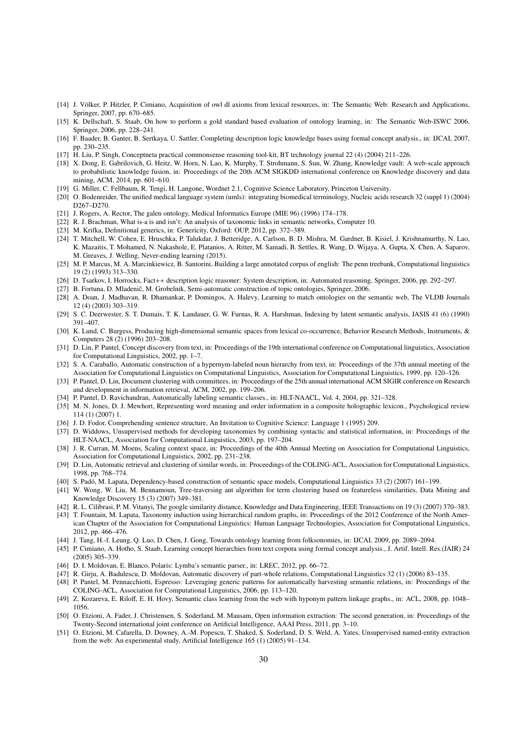- <span id="page-29-0"></span>[14] J. Völker, P. Hitzler, P. Cimiano, Acquisition of owl dl axioms from lexical resources, in: The Semantic Web: Research and Applications, Springer, 2007, pp. 670–685.
- <span id="page-29-1"></span>[15] K. Dellschaft, S. Staab, On how to perform a gold standard based evaluation of ontology learning, in: The Semantic Web-ISWC 2006, Springer, 2006, pp. 228–241.
- <span id="page-29-2"></span>[16] F. Baader, B. Ganter, B. Sertkaya, U. Sattler, Completing description logic knowledge bases using formal concept analysis., in: IJCAI, 2007, pp. 230–235.
- <span id="page-29-3"></span>[17] H. Liu, P. Singh, Conceptneta practical commonsense reasoning tool-kit, BT technology journal 22 (4) (2004) 211–226.
- <span id="page-29-4"></span>[18] X. Dong, E. Gabrilovich, G. Heitz, W. Horn, N. Lao, K. Murphy, T. Strohmann, S. Sun, W. Zhang, Knowledge vault: A web-scale approach to probabilistic knowledge fusion, in: Proceedings of the 20th ACM SIGKDD international conference on Knowledge discovery and data mining, ACM, 2014, pp. 601–610.
- <span id="page-29-5"></span>[19] G. Miller, C. Fellbaum, R. Tengi, H. Langone, Wordnet 2.1, Cognitive Science Laboratory, Princeton University.
- <span id="page-29-6"></span>[20] O. Bodenreider, The unified medical language system (umls): integrating biomedical terminology, Nucleic acids research 32 (suppl 1) (2004) D267–D270.
- <span id="page-29-7"></span>[21] J. Rogers, A. Rector, The galen ontology, Medical Informatics Europe (MIE 96) (1996) 174–178.
- <span id="page-29-8"></span>[22] R. J. Brachman, What is-a is and isn't: An analysis of taxonomic links in semantic networks, Computer 10.
- <span id="page-29-9"></span>[23] M. Krifka, Definitional generics, in: Genericity, Oxford: OUP, 2012, pp. 372-389.
- <span id="page-29-10"></span>[24] T. Mitchell, W. Cohen, E. Hruschka, P. Talukdar, J. Betteridge, A. Carlson, B. D. Mishra, M. Gardner, B. Kisiel, J. Krishnamurthy, N. Lao, K. Mazaitis, T. Mohamed, N. Nakashole, E. Platanios, A. Ritter, M. Samadi, B. Settles, R. Wang, D. Wijaya, A. Gupta, X. Chen, A. Saparov, M. Greaves, J. Welling, Never-ending learning (2015).
- <span id="page-29-11"></span>[25] M. P. Marcus, M. A. Marcinkiewicz, B. Santorini, Building a large annotated corpus of english: The penn treebank, Computational linguistics 19 (2) (1993) 313–330.
- <span id="page-29-12"></span>[26] D. Tsarkov, I. Horrocks, Fact++ description logic reasoner: System description, in: Automated reasoning, Springer, 2006, pp. 292–297.
- <span id="page-29-13"></span>[27] B. Fortuna, D. Mladenič, M. Grobelnik, Semi-automatic construction of topic ontologies, Springer, 2006.
- <span id="page-29-14"></span>[28] A. Doan, J. Madhavan, R. Dhamankar, P. Domingos, A. Halevy, Learning to match ontologies on the semantic web, The VLDB Journals 12 (4) (2003) 303–319.
- <span id="page-29-15"></span>[29] S. C. Deerwester, S. T. Dumais, T. K. Landauer, G. W. Furnas, R. A. Harshman, Indexing by latent semantic analysis, JASIS 41 (6) (1990) 391–407.
- <span id="page-29-16"></span>[30] K. Lund, C. Burgess, Producing high-dimensional semantic spaces from lexical co-occurrence, Behavior Research Methods, Instruments, & Computers 28 (2) (1996) 203–208.
- <span id="page-29-17"></span>[31] D. Lin, P. Pantel, Concept discovery from text, in: Proceedings of the 19th international conference on Computational linguistics, Association for Computational Linguistics, 2002, pp. 1–7.
- <span id="page-29-18"></span>[32] S. A. Caraballo, Automatic construction of a hypernym-labeled noun hierarchy from text, in: Proceedings of the 37th annual meeting of the Association for Computational Linguistics on Computational Linguistics, Association for Computational Linguistics, 1999, pp. 120–126.
- <span id="page-29-19"></span>[33] P. Pantel, D. Lin, Document clustering with committees, in: Proceedings of the 25th annual international ACM SIGIR conference on Research and development in information retrieval, ACM, 2002, pp. 199–206.
- <span id="page-29-20"></span>[34] P. Pantel, D. Ravichandran, Automatically labeling semantic classes., in: HLT-NAACL, Vol. 4, 2004, pp. 321–328.
- <span id="page-29-21"></span>[35] M. N. Jones, D. J. Mewhort, Representing word meaning and order information in a composite holographic lexicon., Psychological review 114 (1) (2007) 1.
- <span id="page-29-22"></span>[36] J. D. Fodor, Comprehending sentence structure, An Invitation to Cognitive Science: Language 1 (1995) 209.
- <span id="page-29-23"></span>[37] D. Widdows, Unsupervised methods for developing taxonomies by combining syntactic and statistical information, in: Proceedings of the HLT-NAACL, Association for Computational Linguistics, 2003, pp. 197–204.
- <span id="page-29-24"></span>[38] J. R. Curran, M. Moens, Scaling context space, in: Proceedings of the 40th Annual Meeting on Association for Computational Linguistics, Association for Computational Linguistics, 2002, pp. 231–238.
- <span id="page-29-25"></span>[39] D. Lin, Automatic retrieval and clustering of similar words, in: Proceedings of the COLING-ACL, Association for Computational Linguistics, 1998, pp. 768–774.
- <span id="page-29-26"></span>[40] S. Padó, M. Lapata, Dependency-based construction of semantic space models, Computational Linguistics 33 (2) (2007) 161–199.
- <span id="page-29-27"></span>[41] W. Wong, W. Liu, M. Bennamoun, Tree-traversing ant algorithm for term clustering based on featureless similarities, Data Mining and Knowledge Discovery 15 (3) (2007) 349–381.
- <span id="page-29-28"></span>[42] R. L. Cilibrasi, P. M. Vitanyi, The google similarity distance, Knowledge and Data Engineering, IEEE Transactions on 19 (3) (2007) 370–383.
- <span id="page-29-29"></span>[43] T. Fountain, M. Lapata, Taxonomy induction using hierarchical random graphs, in: Proceedings of the 2012 Conference of the North American Chapter of the Association for Computational Linguistics: Human Language Technologies, Association for Computational Linguistics, 2012, pp. 466–476.
- <span id="page-29-30"></span>[44] J. Tang, H.-f. Leung, Q. Luo, D. Chen, J. Gong, Towards ontology learning from folksonomies, in: IJCAI, 2009, pp. 2089–2094.
- <span id="page-29-31"></span>[45] P. Cimiano, A. Hotho, S. Staab, Learning concept hierarchies from text corpora using formal concept analysis., J. Artif. Intell. Res.(JAIR) 24 (2005) 305–339.
- <span id="page-29-32"></span>[46] D. I. Moldovan, E. Blanco, Polaris: Lymba's semantic parser., in: LREC, 2012, pp. 66-72.
- [47] R. Girju, A. Badulescu, D. Moldovan, Automatic discovery of part-whole relations, Computational Linguistics 32 (1) (2006) 83–135.
- [48] P. Pantel, M. Pennacchiotti, Espresso: Leveraging generic patterns for automatically harvesting semantic relations, in: Proceedings of the COLING-ACL, Association for Computational Linguistics, 2006, pp. 113–120.
- [49] Z. Kozareva, E. Riloff, E. H. Hovy, Semantic class learning from the web with hyponym pattern linkage graphs., in: ACL, 2008, pp. 1048– 1056.
- <span id="page-29-33"></span>[50] O. Etzioni, A. Fader, J. Christensen, S. Soderland, M. Mausam, Open information extraction: The second generation, in: Proceedings of the Twenty-Second international joint conference on Artificial Intelligence, AAAI Press, 2011, pp. 3–10.
- <span id="page-29-34"></span>[51] O. Etzioni, M. Cafarella, D. Downey, A.-M. Popescu, T. Shaked, S. Soderland, D. S. Weld, A. Yates, Unsupervised named-entity extraction from the web: An experimental study, Artificial Intelligence 165 (1) (2005) 91–134.